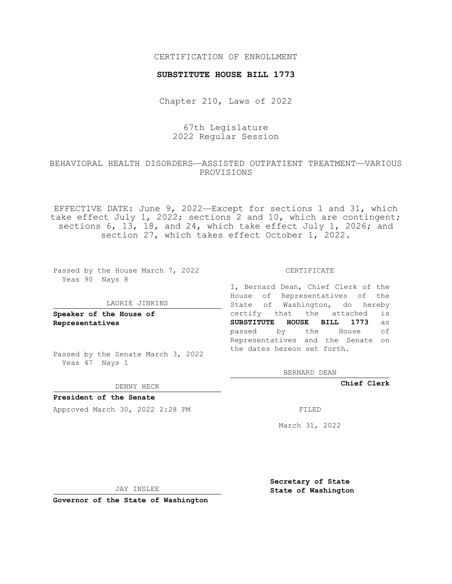## CERTIFICATION OF ENROLLMENT

### **SUBSTITUTE HOUSE BILL 1773**

Chapter 210, Laws of 2022

## 67th Legislature 2022 Regular Session

## BEHAVIORAL HEALTH DISORDERS—ASSISTED OUTPATIENT TREATMENT—VARIOUS PROVISIONS

EFFECTIVE DATE: June 9, 2022—Except for sections 1 and 31, which take effect July 1, 2022; sections 2 and 10, which are contingent; sections 6, 13, 18, and 24, which take effect July 1, 2026; and section 27, which takes effect October 1, 2022.

Passed by the House March 7, 2022 Yeas 90 Nays 8

#### LAURIE JINKINS

**Speaker of the House of Representatives**

Passed by the Senate March 3, 2022 Yeas 47 Nays 1

#### DENNY HECK

**President of the Senate** Approved March 30, 2022 2:28 PM

I, Bernard Dean, Chief Clerk of the House of Representatives of the State of Washington, do hereby certify that the attached is **SUBSTITUTE HOUSE BILL 1773** as passed by the House of Representatives and the Senate on the dates hereon set forth.

CERTIFICATE

BERNARD DEAN

**Chief Clerk**

March 31, 2022

JAY INSLEE

**Secretary of State State of Washington**

**Governor of the State of Washington**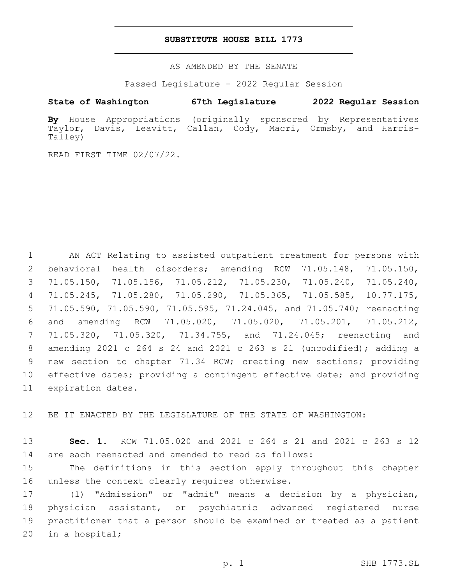### **SUBSTITUTE HOUSE BILL 1773**

AS AMENDED BY THE SENATE

Passed Legislature - 2022 Regular Session

# **State of Washington 67th Legislature 2022 Regular Session**

**By** House Appropriations (originally sponsored by Representatives Taylor, Davis, Leavitt, Callan, Cody, Macri, Ormsby, and Harris-Talley)

READ FIRST TIME 02/07/22.

 AN ACT Relating to assisted outpatient treatment for persons with behavioral health disorders; amending RCW 71.05.148, 71.05.150, 71.05.150, 71.05.156, 71.05.212, 71.05.230, 71.05.240, 71.05.240, 71.05.245, 71.05.280, 71.05.290, 71.05.365, 71.05.585, 10.77.175, 71.05.590, 71.05.590, 71.05.595, 71.24.045, and 71.05.740; reenacting and amending RCW 71.05.020, 71.05.020, 71.05.201, 71.05.212, 71.05.320, 71.05.320, 71.34.755, and 71.24.045; reenacting and amending 2021 c 264 s 24 and 2021 c 263 s 21 (uncodified); adding a new section to chapter 71.34 RCW; creating new sections; providing effective dates; providing a contingent effective date; and providing 11 expiration dates.

12 BE IT ENACTED BY THE LEGISLATURE OF THE STATE OF WASHINGTON:

13 **Sec. 1.** RCW 71.05.020 and 2021 c 264 s 21 and 2021 c 263 s 12 14 are each reenacted and amended to read as follows:

15 The definitions in this section apply throughout this chapter 16 unless the context clearly requires otherwise.

 (1) "Admission" or "admit" means a decision by a physician, physician assistant, or psychiatric advanced registered nurse practitioner that a person should be examined or treated as a patient 20 in a hospital;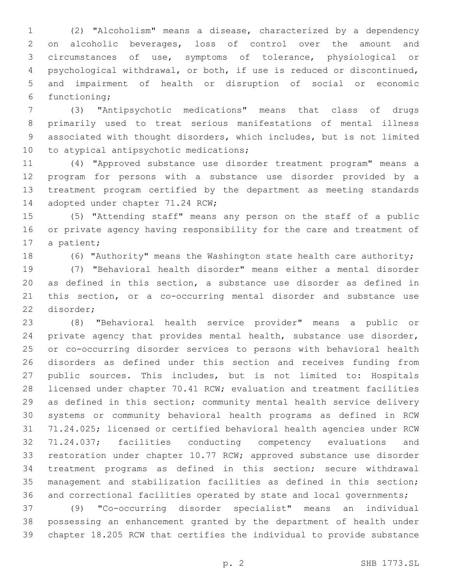(2) "Alcoholism" means a disease, characterized by a dependency on alcoholic beverages, loss of control over the amount and circumstances of use, symptoms of tolerance, physiological or psychological withdrawal, or both, if use is reduced or discontinued, and impairment of health or disruption of social or economic 6 functioning;

 (3) "Antipsychotic medications" means that class of drugs primarily used to treat serious manifestations of mental illness associated with thought disorders, which includes, but is not limited 10 to atypical antipsychotic medications;

 (4) "Approved substance use disorder treatment program" means a program for persons with a substance use disorder provided by a treatment program certified by the department as meeting standards 14 adopted under chapter 71.24 RCW;

 (5) "Attending staff" means any person on the staff of a public or private agency having responsibility for the care and treatment of 17 a patient;

(6) "Authority" means the Washington state health care authority;

 (7) "Behavioral health disorder" means either a mental disorder as defined in this section, a substance use disorder as defined in this section, or a co-occurring mental disorder and substance use 22 disorder;

 (8) "Behavioral health service provider" means a public or private agency that provides mental health, substance use disorder, or co-occurring disorder services to persons with behavioral health disorders as defined under this section and receives funding from public sources. This includes, but is not limited to: Hospitals licensed under chapter 70.41 RCW; evaluation and treatment facilities as defined in this section; community mental health service delivery systems or community behavioral health programs as defined in RCW 71.24.025; licensed or certified behavioral health agencies under RCW 71.24.037; facilities conducting competency evaluations and restoration under chapter 10.77 RCW; approved substance use disorder treatment programs as defined in this section; secure withdrawal management and stabilization facilities as defined in this section; 36 and correctional facilities operated by state and local governments;

 (9) "Co-occurring disorder specialist" means an individual possessing an enhancement granted by the department of health under chapter 18.205 RCW that certifies the individual to provide substance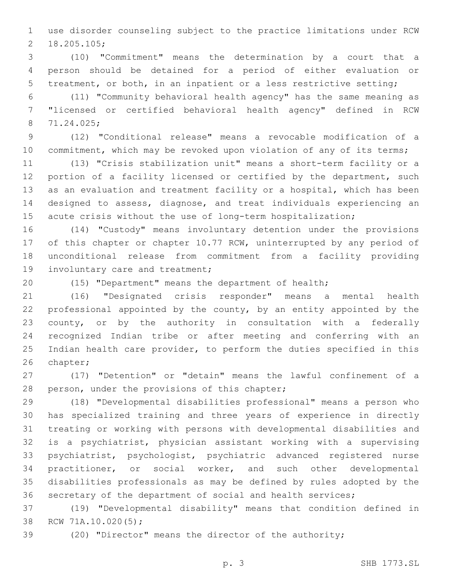use disorder counseling subject to the practice limitations under RCW 18.205.105;2

 (10) "Commitment" means the determination by a court that a person should be detained for a period of either evaluation or treatment, or both, in an inpatient or a less restrictive setting;

 (11) "Community behavioral health agency" has the same meaning as "licensed or certified behavioral health agency" defined in RCW 71.24.025;8

 (12) "Conditional release" means a revocable modification of a 10 commitment, which may be revoked upon violation of any of its terms;

 (13) "Crisis stabilization unit" means a short-term facility or a 12 portion of a facility licensed or certified by the department, such as an evaluation and treatment facility or a hospital, which has been designed to assess, diagnose, and treat individuals experiencing an acute crisis without the use of long-term hospitalization;

 (14) "Custody" means involuntary detention under the provisions 17 of this chapter or chapter 10.77 RCW, uninterrupted by any period of unconditional release from commitment from a facility providing 19 involuntary care and treatment;

(15) "Department" means the department of health;

 (16) "Designated crisis responder" means a mental health professional appointed by the county, by an entity appointed by the county, or by the authority in consultation with a federally recognized Indian tribe or after meeting and conferring with an Indian health care provider, to perform the duties specified in this 26 chapter;

 (17) "Detention" or "detain" means the lawful confinement of a 28 person, under the provisions of this chapter;

 (18) "Developmental disabilities professional" means a person who has specialized training and three years of experience in directly treating or working with persons with developmental disabilities and is a psychiatrist, physician assistant working with a supervising psychiatrist, psychologist, psychiatric advanced registered nurse practitioner, or social worker, and such other developmental disabilities professionals as may be defined by rules adopted by the secretary of the department of social and health services;

 (19) "Developmental disability" means that condition defined in 38 RCW 71A.10.020(5);

(20) "Director" means the director of the authority;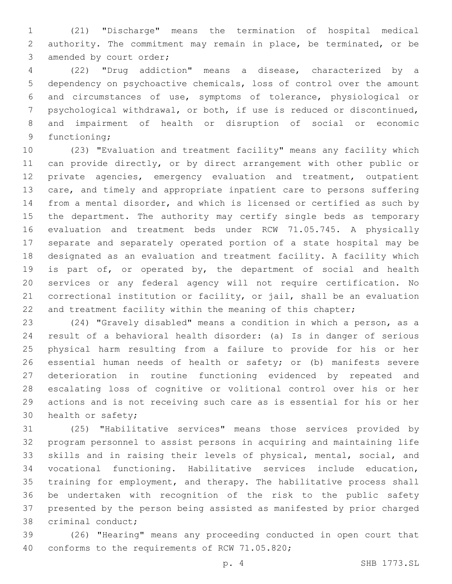(21) "Discharge" means the termination of hospital medical authority. The commitment may remain in place, be terminated, or be 3 amended by court order;

 (22) "Drug addiction" means a disease, characterized by a dependency on psychoactive chemicals, loss of control over the amount and circumstances of use, symptoms of tolerance, physiological or psychological withdrawal, or both, if use is reduced or discontinued, and impairment of health or disruption of social or economic 9 functioning;

 (23) "Evaluation and treatment facility" means any facility which can provide directly, or by direct arrangement with other public or private agencies, emergency evaluation and treatment, outpatient care, and timely and appropriate inpatient care to persons suffering from a mental disorder, and which is licensed or certified as such by the department. The authority may certify single beds as temporary evaluation and treatment beds under RCW 71.05.745. A physically separate and separately operated portion of a state hospital may be designated as an evaluation and treatment facility. A facility which is part of, or operated by, the department of social and health services or any federal agency will not require certification. No correctional institution or facility, or jail, shall be an evaluation 22 and treatment facility within the meaning of this chapter;

 (24) "Gravely disabled" means a condition in which a person, as a result of a behavioral health disorder: (a) Is in danger of serious physical harm resulting from a failure to provide for his or her essential human needs of health or safety; or (b) manifests severe deterioration in routine functioning evidenced by repeated and escalating loss of cognitive or volitional control over his or her actions and is not receiving such care as is essential for his or her 30 health or safety;

 (25) "Habilitative services" means those services provided by program personnel to assist persons in acquiring and maintaining life skills and in raising their levels of physical, mental, social, and vocational functioning. Habilitative services include education, training for employment, and therapy. The habilitative process shall be undertaken with recognition of the risk to the public safety presented by the person being assisted as manifested by prior charged 38 criminal conduct;

 (26) "Hearing" means any proceeding conducted in open court that 40 conforms to the requirements of RCW 71.05.820;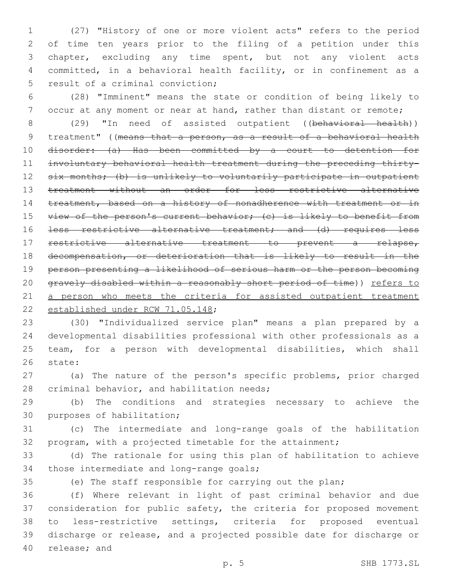(27) "History of one or more violent acts" refers to the period of time ten years prior to the filing of a petition under this chapter, excluding any time spent, but not any violent acts committed, in a behavioral health facility, or in confinement as a 5 result of a criminal conviction;

6 (28) "Imminent" means the state or condition of being likely to 7 occur at any moment or near at hand, rather than distant or remote;

8 (29) "In need of assisted outpatient ((behavioral health)) 9 treatment" ((means that a person, as a result of a behavioral health 10 disorder: (a) Has been committed by a court to detention for 11 involuntary behavioral health treatment during the preceding thirty-12 six months; (b) is unlikely to voluntarily participate in outpatient 13 treatment without an order for less restrictive alternative 14 treatment, based on a history of nonadherence with treatment or in 15 view of the person's current behavior; (c) is likely to benefit from 16 <del>less restrictive alternative treatment; and (d) requires less</del> 17 restrictive alternative treatment to prevent a relapse, 18 decompensation, or deterioration that is likely to result in the 19 person presenting a likelihood of serious harm or the person becoming 20 gravely disabled within a reasonably short period of time)) refers to 21 a person who meets the criteria for assisted outpatient treatment 22 established under RCW 71.05.148;

 (30) "Individualized service plan" means a plan prepared by a developmental disabilities professional with other professionals as a team, for a person with developmental disabilities, which shall 26 state:

27 (a) The nature of the person's specific problems, prior charged 28 criminal behavior, and habilitation needs;

29 (b) The conditions and strategies necessary to achieve the 30 purposes of habilitation;

31 (c) The intermediate and long-range goals of the habilitation 32 program, with a projected timetable for the attainment;

33 (d) The rationale for using this plan of habilitation to achieve 34 those intermediate and long-range goals;

35 (e) The staff responsible for carrying out the plan;

 (f) Where relevant in light of past criminal behavior and due consideration for public safety, the criteria for proposed movement to less-restrictive settings, criteria for proposed eventual discharge or release, and a projected possible date for discharge or 40 release; and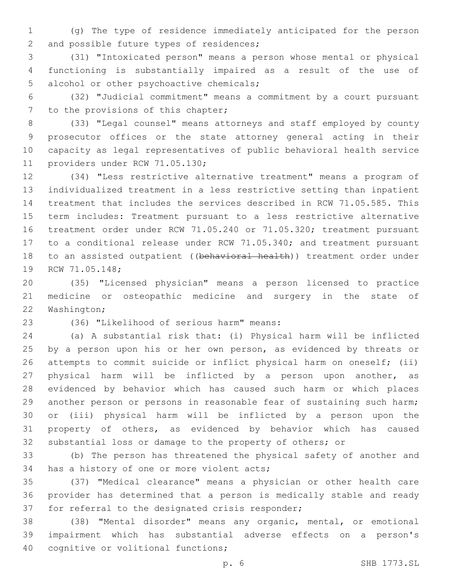(g) The type of residence immediately anticipated for the person 2 and possible future types of residences;

 (31) "Intoxicated person" means a person whose mental or physical functioning is substantially impaired as a result of the use of 5 alcohol or other psychoactive chemicals;

 (32) "Judicial commitment" means a commitment by a court pursuant 7 to the provisions of this chapter;

 (33) "Legal counsel" means attorneys and staff employed by county prosecutor offices or the state attorney general acting in their capacity as legal representatives of public behavioral health service 11 providers under RCW 71.05.130;

 (34) "Less restrictive alternative treatment" means a program of individualized treatment in a less restrictive setting than inpatient treatment that includes the services described in RCW 71.05.585. This term includes: Treatment pursuant to a less restrictive alternative treatment order under RCW 71.05.240 or 71.05.320; treatment pursuant to a conditional release under RCW 71.05.340; and treatment pursuant 18 to an assisted outpatient ((behavioral health)) treatment order under 19 RCW 71.05.148;

 (35) "Licensed physician" means a person licensed to practice medicine or osteopathic medicine and surgery in the state of 22 Washington;

(36) "Likelihood of serious harm" means:23

 (a) A substantial risk that: (i) Physical harm will be inflicted 25 by a person upon his or her own person, as evidenced by threats or attempts to commit suicide or inflict physical harm on oneself; (ii) physical harm will be inflicted by a person upon another, as evidenced by behavior which has caused such harm or which places another person or persons in reasonable fear of sustaining such harm; or (iii) physical harm will be inflicted by a person upon the property of others, as evidenced by behavior which has caused substantial loss or damage to the property of others; or

 (b) The person has threatened the physical safety of another and 34 has a history of one or more violent acts;

 (37) "Medical clearance" means a physician or other health care provider has determined that a person is medically stable and ready 37 for referral to the designated crisis responder;

 (38) "Mental disorder" means any organic, mental, or emotional impairment which has substantial adverse effects on a person's 40 cognitive or volitional functions;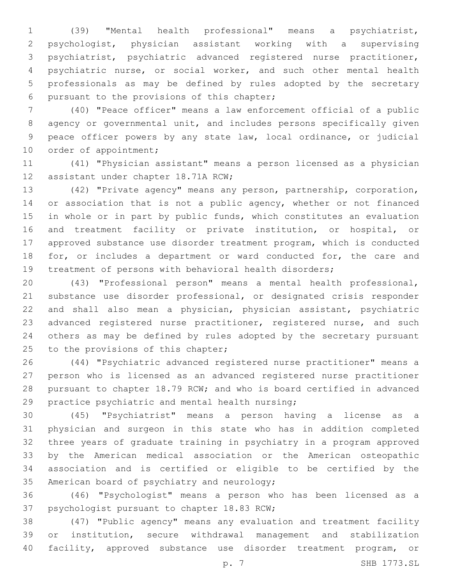(39) "Mental health professional" means a psychiatrist, psychologist, physician assistant working with a supervising psychiatrist, psychiatric advanced registered nurse practitioner, psychiatric nurse, or social worker, and such other mental health professionals as may be defined by rules adopted by the secretary 6 pursuant to the provisions of this chapter;

 (40) "Peace officer" means a law enforcement official of a public agency or governmental unit, and includes persons specifically given peace officer powers by any state law, local ordinance, or judicial 10 order of appointment;

 (41) "Physician assistant" means a person licensed as a physician 12 assistant under chapter 18.71A RCW;

 (42) "Private agency" means any person, partnership, corporation, 14 or association that is not a public agency, whether or not financed in whole or in part by public funds, which constitutes an evaluation and treatment facility or private institution, or hospital, or approved substance use disorder treatment program, which is conducted 18 for, or includes a department or ward conducted for, the care and treatment of persons with behavioral health disorders;

 (43) "Professional person" means a mental health professional, substance use disorder professional, or designated crisis responder and shall also mean a physician, physician assistant, psychiatric 23 advanced registered nurse practitioner, registered nurse, and such others as may be defined by rules adopted by the secretary pursuant 25 to the provisions of this chapter;

 (44) "Psychiatric advanced registered nurse practitioner" means a person who is licensed as an advanced registered nurse practitioner pursuant to chapter 18.79 RCW; and who is board certified in advanced 29 practice psychiatric and mental health nursing;

 (45) "Psychiatrist" means a person having a license as a physician and surgeon in this state who has in addition completed three years of graduate training in psychiatry in a program approved by the American medical association or the American osteopathic association and is certified or eligible to be certified by the 35 American board of psychiatry and neurology;

 (46) "Psychologist" means a person who has been licensed as a 37 psychologist pursuant to chapter 18.83 RCW;

 (47) "Public agency" means any evaluation and treatment facility or institution, secure withdrawal management and stabilization facility, approved substance use disorder treatment program, or

p. 7 SHB 1773.SL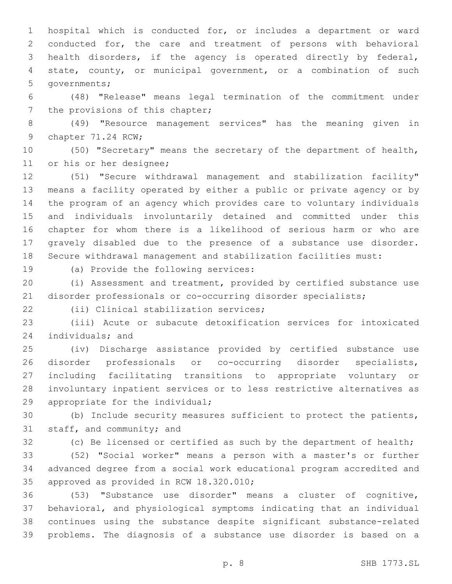hospital which is conducted for, or includes a department or ward conducted for, the care and treatment of persons with behavioral health disorders, if the agency is operated directly by federal, state, county, or municipal government, or a combination of such 5 governments;

 (48) "Release" means legal termination of the commitment under 7 the provisions of this chapter;

 (49) "Resource management services" has the meaning given in 9 chapter 71.24 RCW;

 (50) "Secretary" means the secretary of the department of health, 11 or his or her designee;

 (51) "Secure withdrawal management and stabilization facility" means a facility operated by either a public or private agency or by the program of an agency which provides care to voluntary individuals and individuals involuntarily detained and committed under this chapter for whom there is a likelihood of serious harm or who are gravely disabled due to the presence of a substance use disorder. Secure withdrawal management and stabilization facilities must:

19 (a) Provide the following services:

 (i) Assessment and treatment, provided by certified substance use disorder professionals or co-occurring disorder specialists;

(ii) Clinical stabilization services;22

 (iii) Acute or subacute detoxification services for intoxicated 24 individuals; and

 (iv) Discharge assistance provided by certified substance use disorder professionals or co-occurring disorder specialists, including facilitating transitions to appropriate voluntary or involuntary inpatient services or to less restrictive alternatives as 29 appropriate for the individual;

 (b) Include security measures sufficient to protect the patients, 31 staff, and community; and

(c) Be licensed or certified as such by the department of health;

 (52) "Social worker" means a person with a master's or further advanced degree from a social work educational program accredited and 35 approved as provided in RCW 18.320.010;

 (53) "Substance use disorder" means a cluster of cognitive, behavioral, and physiological symptoms indicating that an individual continues using the substance despite significant substance-related problems. The diagnosis of a substance use disorder is based on a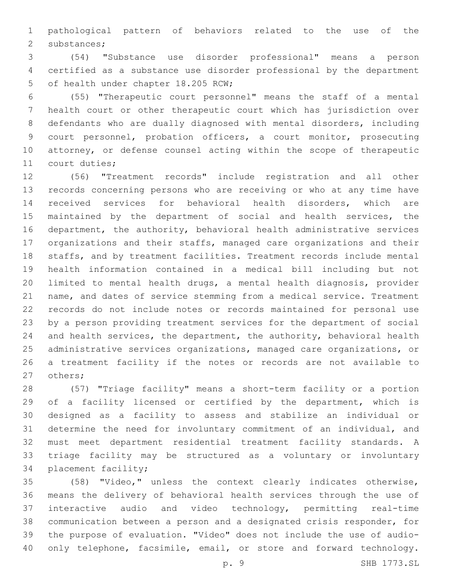pathological pattern of behaviors related to the use of the 2 substances;

 (54) "Substance use disorder professional" means a person certified as a substance use disorder professional by the department 5 of health under chapter 18.205 RCW;

 (55) "Therapeutic court personnel" means the staff of a mental health court or other therapeutic court which has jurisdiction over defendants who are dually diagnosed with mental disorders, including court personnel, probation officers, a court monitor, prosecuting attorney, or defense counsel acting within the scope of therapeutic 11 court duties;

 (56) "Treatment records" include registration and all other records concerning persons who are receiving or who at any time have received services for behavioral health disorders, which are maintained by the department of social and health services, the department, the authority, behavioral health administrative services organizations and their staffs, managed care organizations and their staffs, and by treatment facilities. Treatment records include mental health information contained in a medical bill including but not limited to mental health drugs, a mental health diagnosis, provider name, and dates of service stemming from a medical service. Treatment records do not include notes or records maintained for personal use by a person providing treatment services for the department of social and health services, the department, the authority, behavioral health administrative services organizations, managed care organizations, or a treatment facility if the notes or records are not available to 27 others;

 (57) "Triage facility" means a short-term facility or a portion 29 of a facility licensed or certified by the department, which is designed as a facility to assess and stabilize an individual or determine the need for involuntary commitment of an individual, and must meet department residential treatment facility standards. A triage facility may be structured as a voluntary or involuntary 34 placement facility;

 (58) "Video," unless the context clearly indicates otherwise, means the delivery of behavioral health services through the use of interactive audio and video technology, permitting real-time communication between a person and a designated crisis responder, for the purpose of evaluation. "Video" does not include the use of audio-40 only telephone, facsimile, email, or store and forward technology.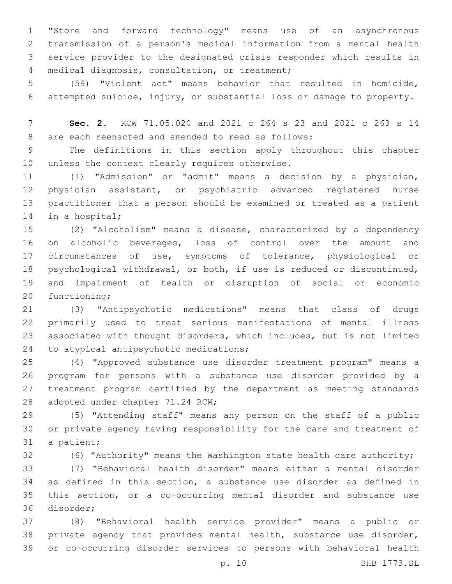"Store and forward technology" means use of an asynchronous transmission of a person's medical information from a mental health service provider to the designated crisis responder which results in 4 medical diagnosis, consultation, or treatment;

 (59) "Violent act" means behavior that resulted in homicide, attempted suicide, injury, or substantial loss or damage to property.

 **Sec. 2.** RCW 71.05.020 and 2021 c 264 s 23 and 2021 c 263 s 14 8 are each reenacted and amended to read as follows:

 The definitions in this section apply throughout this chapter 10 unless the context clearly requires otherwise.

 (1) "Admission" or "admit" means a decision by a physician, physician assistant, or psychiatric advanced registered nurse practitioner that a person should be examined or treated as a patient 14 in a hospital;

 (2) "Alcoholism" means a disease, characterized by a dependency on alcoholic beverages, loss of control over the amount and circumstances of use, symptoms of tolerance, physiological or psychological withdrawal, or both, if use is reduced or discontinued, and impairment of health or disruption of social or economic 20 functioning;

 (3) "Antipsychotic medications" means that class of drugs primarily used to treat serious manifestations of mental illness associated with thought disorders, which includes, but is not limited 24 to atypical antipsychotic medications;

 (4) "Approved substance use disorder treatment program" means a program for persons with a substance use disorder provided by a treatment program certified by the department as meeting standards 28 adopted under chapter 71.24 RCW;

 (5) "Attending staff" means any person on the staff of a public or private agency having responsibility for the care and treatment of 31 a patient;

(6) "Authority" means the Washington state health care authority;

 (7) "Behavioral health disorder" means either a mental disorder as defined in this section, a substance use disorder as defined in this section, or a co-occurring mental disorder and substance use 36 disorder;

 (8) "Behavioral health service provider" means a public or private agency that provides mental health, substance use disorder, or co-occurring disorder services to persons with behavioral health

p. 10 SHB 1773.SL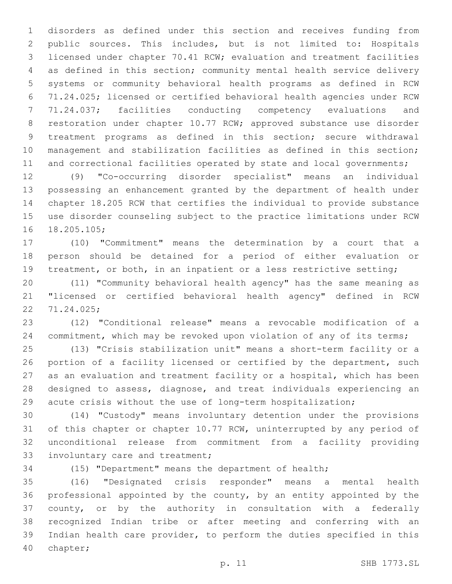disorders as defined under this section and receives funding from public sources. This includes, but is not limited to: Hospitals licensed under chapter 70.41 RCW; evaluation and treatment facilities as defined in this section; community mental health service delivery systems or community behavioral health programs as defined in RCW 71.24.025; licensed or certified behavioral health agencies under RCW 71.24.037; facilities conducting competency evaluations and restoration under chapter 10.77 RCW; approved substance use disorder treatment programs as defined in this section; secure withdrawal management and stabilization facilities as defined in this section; 11 and correctional facilities operated by state and local governments;

 (9) "Co-occurring disorder specialist" means an individual possessing an enhancement granted by the department of health under chapter 18.205 RCW that certifies the individual to provide substance use disorder counseling subject to the practice limitations under RCW 16 18.205.105;

 (10) "Commitment" means the determination by a court that a person should be detained for a period of either evaluation or 19 treatment, or both, in an inpatient or a less restrictive setting;

 (11) "Community behavioral health agency" has the same meaning as "licensed or certified behavioral health agency" defined in RCW 71.24.025;22

 (12) "Conditional release" means a revocable modification of a 24 commitment, which may be revoked upon violation of any of its terms;

 (13) "Crisis stabilization unit" means a short-term facility or a 26 portion of a facility licensed or certified by the department, such as an evaluation and treatment facility or a hospital, which has been designed to assess, diagnose, and treat individuals experiencing an acute crisis without the use of long-term hospitalization;

 (14) "Custody" means involuntary detention under the provisions of this chapter or chapter 10.77 RCW, uninterrupted by any period of unconditional release from commitment from a facility providing 33 involuntary care and treatment;

(15) "Department" means the department of health;

 (16) "Designated crisis responder" means a mental health professional appointed by the county, by an entity appointed by the county, or by the authority in consultation with a federally recognized Indian tribe or after meeting and conferring with an Indian health care provider, to perform the duties specified in this 40 chapter;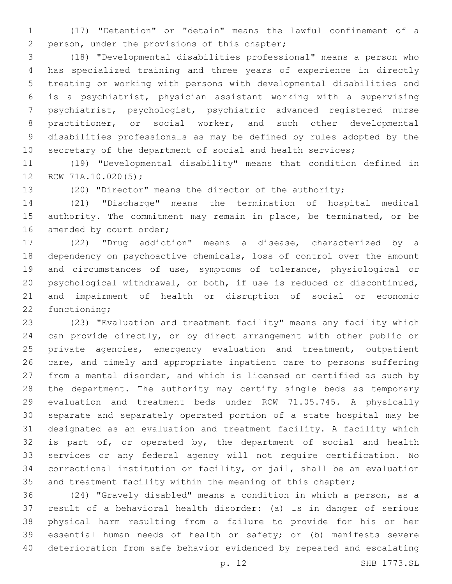(17) "Detention" or "detain" means the lawful confinement of a 2 person, under the provisions of this chapter;

 (18) "Developmental disabilities professional" means a person who has specialized training and three years of experience in directly treating or working with persons with developmental disabilities and is a psychiatrist, physician assistant working with a supervising psychiatrist, psychologist, psychiatric advanced registered nurse practitioner, or social worker, and such other developmental disabilities professionals as may be defined by rules adopted by the 10 secretary of the department of social and health services;

 (19) "Developmental disability" means that condition defined in 12 RCW 71A.10.020(5);

(20) "Director" means the director of the authority;

 (21) "Discharge" means the termination of hospital medical authority. The commitment may remain in place, be terminated, or be 16 amended by court order;

 (22) "Drug addiction" means a disease, characterized by a dependency on psychoactive chemicals, loss of control over the amount and circumstances of use, symptoms of tolerance, physiological or psychological withdrawal, or both, if use is reduced or discontinued, and impairment of health or disruption of social or economic 22 functioning;

 (23) "Evaluation and treatment facility" means any facility which can provide directly, or by direct arrangement with other public or 25 private agencies, emergency evaluation and treatment, outpatient care, and timely and appropriate inpatient care to persons suffering from a mental disorder, and which is licensed or certified as such by the department. The authority may certify single beds as temporary evaluation and treatment beds under RCW 71.05.745. A physically separate and separately operated portion of a state hospital may be designated as an evaluation and treatment facility. A facility which 32 is part of, or operated by, the department of social and health services or any federal agency will not require certification. No correctional institution or facility, or jail, shall be an evaluation 35 and treatment facility within the meaning of this chapter;

 (24) "Gravely disabled" means a condition in which a person, as a result of a behavioral health disorder: (a) Is in danger of serious physical harm resulting from a failure to provide for his or her essential human needs of health or safety; or (b) manifests severe deterioration from safe behavior evidenced by repeated and escalating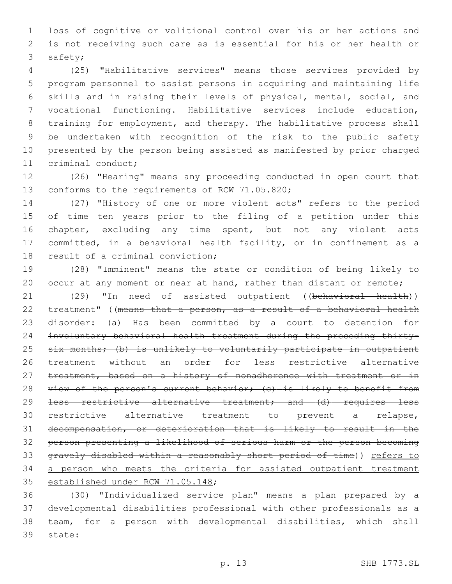loss of cognitive or volitional control over his or her actions and is not receiving such care as is essential for his or her health or 3 safety;

 (25) "Habilitative services" means those services provided by program personnel to assist persons in acquiring and maintaining life skills and in raising their levels of physical, mental, social, and vocational functioning. Habilitative services include education, training for employment, and therapy. The habilitative process shall be undertaken with recognition of the risk to the public safety presented by the person being assisted as manifested by prior charged 11 criminal conduct;

 (26) "Hearing" means any proceeding conducted in open court that 13 conforms to the requirements of RCW 71.05.820;

 (27) "History of one or more violent acts" refers to the period of time ten years prior to the filing of a petition under this 16 chapter, excluding any time spent, but not any violent acts committed, in a behavioral health facility, or in confinement as a 18 result of a criminal conviction;

 (28) "Imminent" means the state or condition of being likely to 20 occur at any moment or near at hand, rather than distant or remote;

21 (29) "In need of assisted outpatient ((behavioral health)) treatment" ((means that a person, as a result of a behavioral health disorder: (a) Has been committed by a court to detention for involuntary behavioral health treatment during the preceding thirty-25 six months; (b) is unlikely to voluntarily participate in outpatient treatment without an order for less restrictive alternative 27 treatment, based on a history of nonadherence with treatment or in 28 view of the person's current behavior; (c) is likely to benefit from 29 <del>less restrictive alternative treatment; and (d) requires less</del> restrictive alternative treatment to prevent a relapse, decompensation, or deterioration that is likely to result in the person presenting a likelihood of serious harm or the person becoming gravely disabled within a reasonably short period of time)) refers to 34 a person who meets the criteria for assisted outpatient treatment 35 established under RCW 71.05.148;

 (30) "Individualized service plan" means a plan prepared by a developmental disabilities professional with other professionals as a team, for a person with developmental disabilities, which shall 39 state: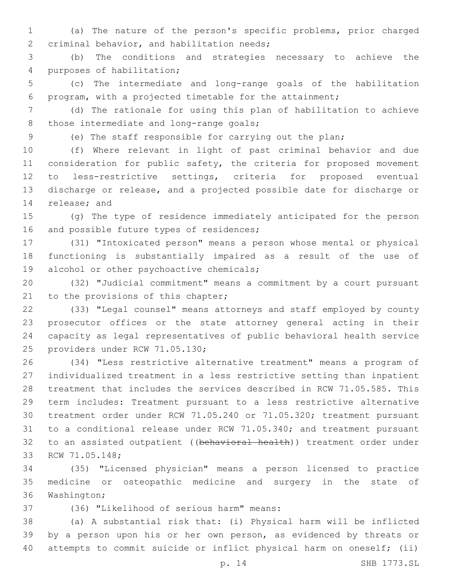(a) The nature of the person's specific problems, prior charged 2 criminal behavior, and habilitation needs;

 (b) The conditions and strategies necessary to achieve the 4 purposes of habilitation;

 (c) The intermediate and long-range goals of the habilitation program, with a projected timetable for the attainment;

 (d) The rationale for using this plan of habilitation to achieve 8 those intermediate and long-range goals;

(e) The staff responsible for carrying out the plan;

 (f) Where relevant in light of past criminal behavior and due 11 consideration for public safety, the criteria for proposed movement to less-restrictive settings, criteria for proposed eventual discharge or release, and a projected possible date for discharge or 14 release; and

 (g) The type of residence immediately anticipated for the person 16 and possible future types of residences;

 (31) "Intoxicated person" means a person whose mental or physical functioning is substantially impaired as a result of the use of 19 alcohol or other psychoactive chemicals;

 (32) "Judicial commitment" means a commitment by a court pursuant 21 to the provisions of this chapter;

 (33) "Legal counsel" means attorneys and staff employed by county prosecutor offices or the state attorney general acting in their capacity as legal representatives of public behavioral health service 25 providers under RCW 71.05.130;

 (34) "Less restrictive alternative treatment" means a program of individualized treatment in a less restrictive setting than inpatient treatment that includes the services described in RCW 71.05.585. This term includes: Treatment pursuant to a less restrictive alternative treatment order under RCW 71.05.240 or 71.05.320; treatment pursuant to a conditional release under RCW 71.05.340; and treatment pursuant 32 to an assisted outpatient ((behavioral health)) treatment order under 33 RCW 71.05.148;

 (35) "Licensed physician" means a person licensed to practice medicine or osteopathic medicine and surgery in the state of 36 Washington;

(36) "Likelihood of serious harm" means:37

 (a) A substantial risk that: (i) Physical harm will be inflicted by a person upon his or her own person, as evidenced by threats or attempts to commit suicide or inflict physical harm on oneself; (ii)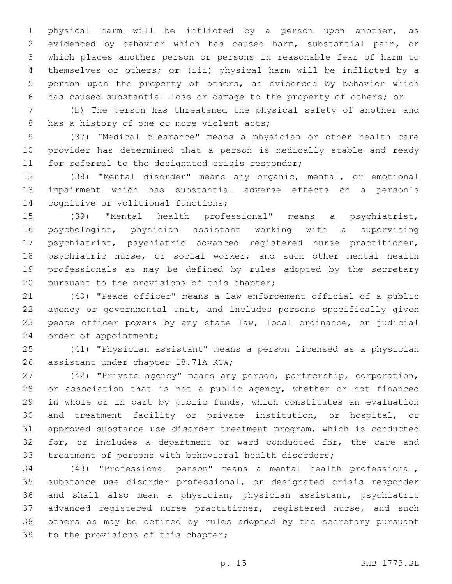physical harm will be inflicted by a person upon another, as evidenced by behavior which has caused harm, substantial pain, or which places another person or persons in reasonable fear of harm to themselves or others; or (iii) physical harm will be inflicted by a person upon the property of others, as evidenced by behavior which has caused substantial loss or damage to the property of others; or

 (b) The person has threatened the physical safety of another and 8 has a history of one or more violent acts;

 (37) "Medical clearance" means a physician or other health care provider has determined that a person is medically stable and ready 11 for referral to the designated crisis responder;

 (38) "Mental disorder" means any organic, mental, or emotional impairment which has substantial adverse effects on a person's 14 cognitive or volitional functions;

 (39) "Mental health professional" means a psychiatrist, psychologist, physician assistant working with a supervising psychiatrist, psychiatric advanced registered nurse practitioner, 18 psychiatric nurse, or social worker, and such other mental health professionals as may be defined by rules adopted by the secretary 20 pursuant to the provisions of this chapter;

 (40) "Peace officer" means a law enforcement official of a public agency or governmental unit, and includes persons specifically given peace officer powers by any state law, local ordinance, or judicial 24 order of appointment;

 (41) "Physician assistant" means a person licensed as a physician 26 assistant under chapter 18.71A RCW;

 (42) "Private agency" means any person, partnership, corporation, 28 or association that is not a public agency, whether or not financed in whole or in part by public funds, which constitutes an evaluation and treatment facility or private institution, or hospital, or approved substance use disorder treatment program, which is conducted 32 for, or includes a department or ward conducted for, the care and treatment of persons with behavioral health disorders;

 (43) "Professional person" means a mental health professional, substance use disorder professional, or designated crisis responder and shall also mean a physician, physician assistant, psychiatric 37 advanced registered nurse practitioner, registered nurse, and such others as may be defined by rules adopted by the secretary pursuant 39 to the provisions of this chapter;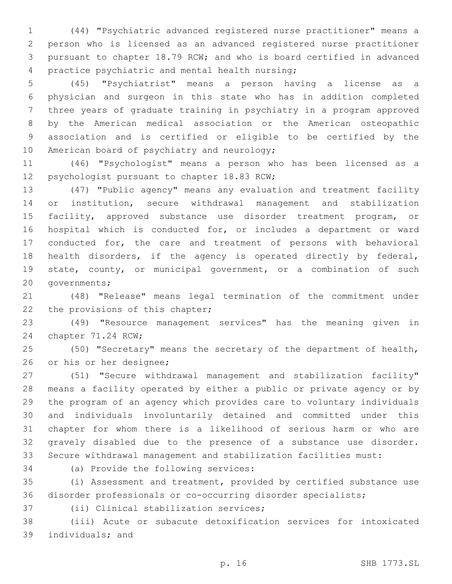(44) "Psychiatric advanced registered nurse practitioner" means a person who is licensed as an advanced registered nurse practitioner pursuant to chapter 18.79 RCW; and who is board certified in advanced 4 practice psychiatric and mental health nursing;

 (45) "Psychiatrist" means a person having a license as a physician and surgeon in this state who has in addition completed three years of graduate training in psychiatry in a program approved by the American medical association or the American osteopathic association and is certified or eligible to be certified by the 10 American board of psychiatry and neurology;

 (46) "Psychologist" means a person who has been licensed as a 12 psychologist pursuant to chapter 18.83 RCW;

 (47) "Public agency" means any evaluation and treatment facility or institution, secure withdrawal management and stabilization facility, approved substance use disorder treatment program, or hospital which is conducted for, or includes a department or ward conducted for, the care and treatment of persons with behavioral health disorders, if the agency is operated directly by federal, state, county, or municipal government, or a combination of such 20 governments;

 (48) "Release" means legal termination of the commitment under 22 the provisions of this chapter;

 (49) "Resource management services" has the meaning given in 24 chapter 71.24 RCW;

 (50) "Secretary" means the secretary of the department of health, 26 or his or her designee;

 (51) "Secure withdrawal management and stabilization facility" means a facility operated by either a public or private agency or by the program of an agency which provides care to voluntary individuals and individuals involuntarily detained and committed under this chapter for whom there is a likelihood of serious harm or who are gravely disabled due to the presence of a substance use disorder. Secure withdrawal management and stabilization facilities must:

34 (a) Provide the following services:

 (i) Assessment and treatment, provided by certified substance use disorder professionals or co-occurring disorder specialists;

37 (ii) Clinical stabilization services;

 (iii) Acute or subacute detoxification services for intoxicated 39 individuals; and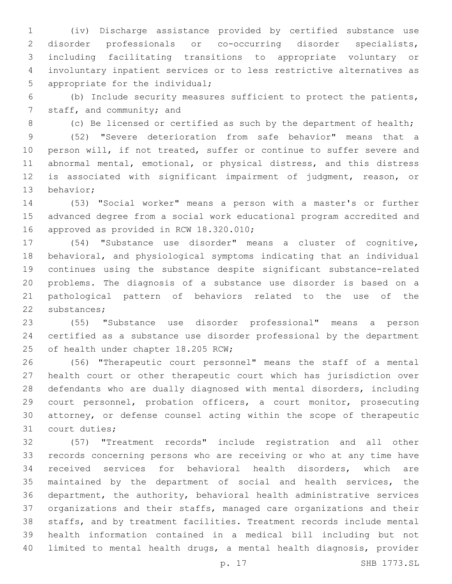(iv) Discharge assistance provided by certified substance use disorder professionals or co-occurring disorder specialists, including facilitating transitions to appropriate voluntary or involuntary inpatient services or to less restrictive alternatives as 5 appropriate for the individual;

 (b) Include security measures sufficient to protect the patients, 7 staff, and community; and

8 (c) Be licensed or certified as such by the department of health;

 (52) "Severe deterioration from safe behavior" means that a person will, if not treated, suffer or continue to suffer severe and abnormal mental, emotional, or physical distress, and this distress is associated with significant impairment of judgment, reason, or 13 behavior;

 (53) "Social worker" means a person with a master's or further advanced degree from a social work educational program accredited and 16 approved as provided in RCW 18.320.010;

 (54) "Substance use disorder" means a cluster of cognitive, behavioral, and physiological symptoms indicating that an individual continues using the substance despite significant substance-related problems. The diagnosis of a substance use disorder is based on a pathological pattern of behaviors related to the use of the 22 substances;

 (55) "Substance use disorder professional" means a person certified as a substance use disorder professional by the department 25 of health under chapter 18.205 RCW;

 (56) "Therapeutic court personnel" means the staff of a mental health court or other therapeutic court which has jurisdiction over defendants who are dually diagnosed with mental disorders, including court personnel, probation officers, a court monitor, prosecuting attorney, or defense counsel acting within the scope of therapeutic 31 court duties;

 (57) "Treatment records" include registration and all other records concerning persons who are receiving or who at any time have received services for behavioral health disorders, which are maintained by the department of social and health services, the department, the authority, behavioral health administrative services organizations and their staffs, managed care organizations and their staffs, and by treatment facilities. Treatment records include mental health information contained in a medical bill including but not limited to mental health drugs, a mental health diagnosis, provider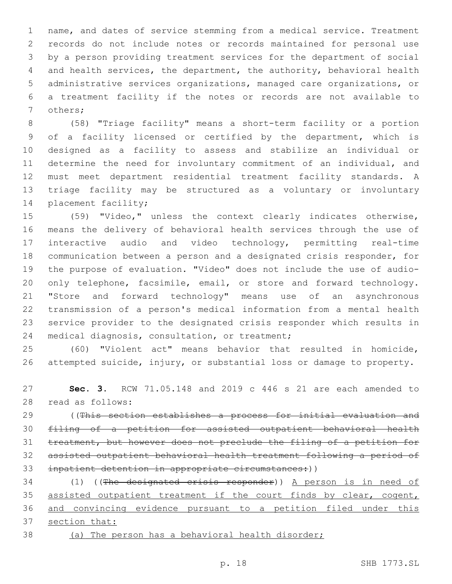name, and dates of service stemming from a medical service. Treatment records do not include notes or records maintained for personal use by a person providing treatment services for the department of social and health services, the department, the authority, behavioral health administrative services organizations, managed care organizations, or a treatment facility if the notes or records are not available to 7 others;

 (58) "Triage facility" means a short-term facility or a portion of a facility licensed or certified by the department, which is designed as a facility to assess and stabilize an individual or determine the need for involuntary commitment of an individual, and must meet department residential treatment facility standards. A triage facility may be structured as a voluntary or involuntary 14 placement facility;

 (59) "Video," unless the context clearly indicates otherwise, means the delivery of behavioral health services through the use of interactive audio and video technology, permitting real-time communication between a person and a designated crisis responder, for the purpose of evaluation. "Video" does not include the use of audio- only telephone, facsimile, email, or store and forward technology. "Store and forward technology" means use of an asynchronous transmission of a person's medical information from a mental health service provider to the designated crisis responder which results in 24 medical diagnosis, consultation, or treatment;

 (60) "Violent act" means behavior that resulted in homicide, attempted suicide, injury, or substantial loss or damage to property.

 **Sec. 3.** RCW 71.05.148 and 2019 c 446 s 21 are each amended to read as follows:28

 ((This section establishes a process for initial evaluation and filing of a petition for assisted outpatient behavioral health treatment, but however does not preclude the filing of a petition for assisted outpatient behavioral health treatment following a period of inpatient detention in appropriate circumstances:))

34 (1) ((The designated crisis responder)) A person is in need of 35 assisted outpatient treatment if the court finds by clear, cogent, and convincing evidence pursuant to a petition filed under this section that:

(a) The person has a behavioral health disorder;

p. 18 SHB 1773.SL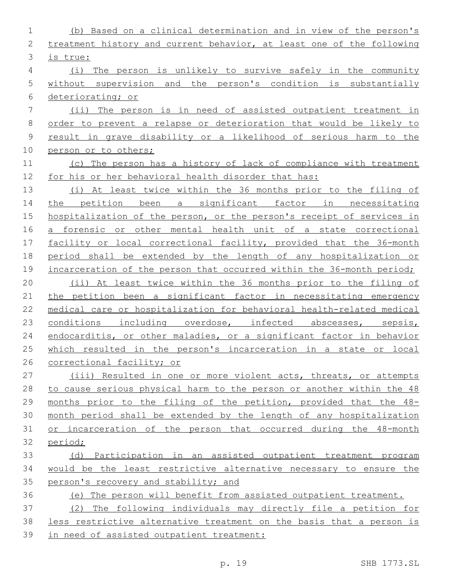| $\mathbf 1$    | (b) Based on a clinical determination and in view of the person's     |
|----------------|-----------------------------------------------------------------------|
| 2              | treatment history and current behavior, at least one of the following |
| 3              | is true:                                                              |
| $\overline{4}$ | (i) The person is unlikely to survive safely in the community         |
| 5              | without supervision and the person's condition is substantially       |
| 6              | deteriorating; or                                                     |
| 7              | (ii) The person is in need of assisted outpatient treatment in        |
| $\,8\,$        | order to prevent a relapse or deterioration that would be likely to   |
| $\mathsf 9$    | result in grave disability or a likelihood of serious harm to the     |
| 10             | person or to others;                                                  |
| 11             | (c) The person has a history of lack of compliance with treatment     |
| 12             | for his or her behavioral health disorder that has:                   |
| 13             | (i) At least twice within the 36 months prior to the filing of        |
| 14             | the petition been a significant factor in necessitating               |
| 15             | hospitalization of the person, or the person's receipt of services in |
| 16             | a forensic or other mental health unit of a state correctional        |
| 17             | facility or local correctional facility, provided that the 36-month   |
| 18             | period shall be extended by the length of any hospitalization or      |
| 19             | incarceration of the person that occurred within the 36-month period; |
| 20             | (ii) At least twice within the 36 months prior to the filing of       |
| 21             | the petition been a significant factor in necessitating emergency     |
| 22             | medical care or hospitalization for behavioral health-related medical |
| 23             | conditions including overdose, infected abscesses, sepsis,            |
| 24             | endocarditis, or other maladies, or a significant factor in behavior  |
| 25             | which resulted in the person's incarceration in a state or local      |
| 26             | correctional facility; or                                             |
| 27             | (iii) Resulted in one or more violent acts, threats, or attempts      |
| 28             | to cause serious physical harm to the person or another within the 48 |
| 29             | months prior to the filing of the petition, provided that the 48-     |
| 30             | month period shall be extended by the length of any hospitalization   |
| 31             | or incarceration of the person that occurred during the 48-month      |
| 32             | period;                                                               |
| 33             | (d) Participation in an assisted outpatient treatment program         |
| 34             | would be the least restrictive alternative necessary to ensure the    |
| 35             | person's recovery and stability; and                                  |
| 36             | (e) The person will benefit from assisted outpatient treatment.       |
| 37             | (2) The following individuals may directly file a petition for        |
| 38             | less restrictive alternative treatment on the basis that a person is  |
| 39             | in need of assisted outpatient treatment:                             |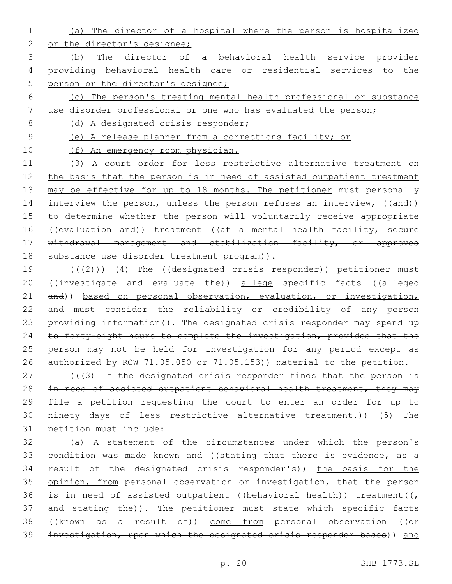1 (a) The director of a hospital where the person is hospitalized 2 or the director's designee;

3 (b) The director of a behavioral health service provider 4 providing behavioral health care or residential services to the 5 person or the director's designee;

- 6 (c) The person's treating mental health professional or substance
- 7 use disorder professional or one who has evaluated the person;

8 (d) A designated crisis responder;

9 (e) A release planner from a corrections facility; or

10 (f) An emergency room physician.

11 (3) A court order for less restrictive alternative treatment on 12 the basis that the person is in need of assisted outpatient treatment 13 may be effective for up to 18 months. The petitioner must personally 14 interview the person, unless the person refuses an interview, ((and)) 15 to determine whether the person will voluntarily receive appropriate 16 ((evaluation and)) treatment ((at a mental health facility, secure 17 withdrawal management and stabilization facility, or approved 18 substance use disorder treatment program)).

19 (((2)) (4) The ((designated crisis responder)) petitioner must 20 ((investigate and evaluate the)) allege specific facts ((alleged 21 and)) based on personal observation, evaluation, or investigation, 22 and must consider the reliability or credibility of any person 23 providing information((- The designated crisis responder may spend up 24 to forty-eight hours to complete the investigation, provided that the 25 person may not be held for investigation for any period except as 26 authorized by RCW 71.05.050 or 71.05.153)) material to the petition.

27 (((3) If the designated crisis responder finds that the person is 28 in need of assisted outpatient behavioral health treatment, they may 29 file a petition requesting the court to enter an order for up to 30 ninety days of less restrictive alternative treatment.)) (5) The 31 petition must include:

32 (a) A statement of the circumstances under which the person's 33 condition was made known and ((stating that there is evidence, as a 34 result of the designated crisis responder's)) the basis for the 35 opinion, from personal observation or investigation, that the person 36 is in need of assisted outpatient ((behavioral health)) treatment( $(\tau$ 37 and stating the)). The petitioner must state which specific facts 38 ((known as a result of)) come from personal observation ((or 39 investigation, upon which the designated crisis responder bases)) and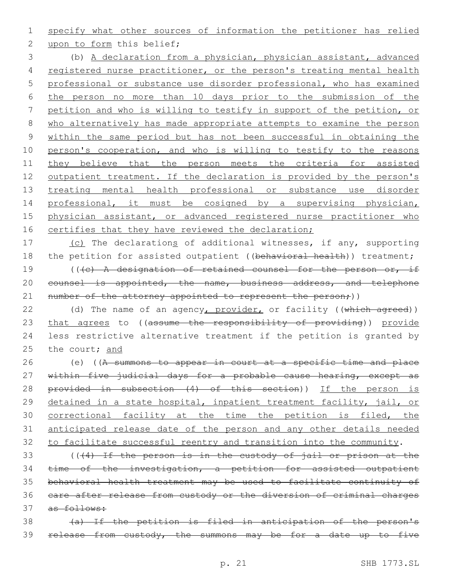1 specify what other sources of information the petitioner has relied

2 upon to form this belief;

 (b) A declaration from a physician, physician assistant, advanced registered nurse practitioner, or the person's treating mental health professional or substance use disorder professional, who has examined the person no more than 10 days prior to the submission of the petition and who is willing to testify in support of the petition, or who alternatively has made appropriate attempts to examine the person within the same period but has not been successful in obtaining the person's cooperation, and who is willing to testify to the reasons 11 they believe that the person meets the criteria for assisted 12 outpatient treatment. If the declaration is provided by the person's 13 treating mental health professional or substance use disorder professional, it must be cosigned by a supervising physician, physician assistant, or advanced registered nurse practitioner who 16 certifies that they have reviewed the declaration;

17 (c) The declarations of additional witnesses, if any, supporting 18 the petition for assisted outpatient ((behavioral health)) treatment; 19 (((c) A designation of retained counsel for the person or, if 20 counsel is appointed, the name, business address, and telephone 21 number of the attorney appointed to represent the person;))

22 (d) The name of an agency, provider, or facility ((which agreed)) 23 that agrees to ((assume the responsibility of providing)) provide 24 less restrictive alternative treatment if the petition is granted by 25 the court; and

26 (e) ((A summons to appear in court at a specific time and place 27 within five judicial days for a probable cause hearing, except as 28 provided in subsection (4) of this section)) If the person is 29 detained in a state hospital, inpatient treatment facility, jail, or 30 correctional facility at the time the petition is filed, the 31 anticipated release date of the person and any other details needed 32 to facilitate successful reentry and transition into the community.

 (((4) If the person is in the custody of jail or prison at the time of the investigation, a petition for assisted outpatient behavioral health treatment may be used to facilitate continuity of care after release from custody or the diversion of criminal charges 37 as follows:

38 (a) If the petition is filed in anticipation of the person's 39 release from custody, the summons may be for a date up to five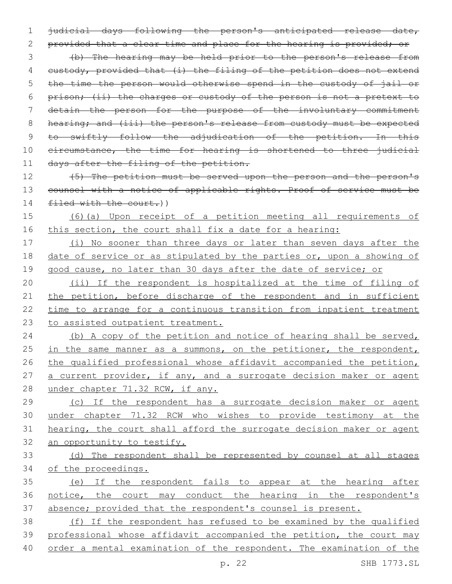1 judicial days following the person's anticipated release date, 2 provided that a clear time and place for the hearing is provided; or 3 (b) The hearing may be held prior to the person's release from 4 custody, provided that (i) the filing of the petition does not extend 5 the time the person would otherwise spend in the custody of jail or 6 prison; (ii) the charges or custody of the person is not a pretext to 7 detain the person for the purpose of the involuntary commitment 8 hearing; and (iii) the person's release from custody must be expected 9 to swiftly follow the adjudication of the petition. In this 10 eircumstance, the time for hearing is shortened to three judicial 11 days after the filing of the petition.

12 (5) The petition must be served upon the person and the person's 13 counsel with a notice of applicable rights. Proof of service must be 14 filed with the court.))

15 (6)(a) Upon receipt of a petition meeting all requirements of 16 this section, the court shall fix a date for a hearing:

17 (i) No sooner than three days or later than seven days after the 18 date of service or as stipulated by the parties or, upon a showing of 19 good cause, no later than 30 days after the date of service; or

 (ii) If the respondent is hospitalized at the time of filing of 21 the petition, before discharge of the respondent and in sufficient time to arrange for a continuous transition from inpatient treatment to assisted outpatient treatment.

24 (b) A copy of the petition and notice of hearing shall be served, 25 in the same manner as a summons, on the petitioner, the respondent, 26 the qualified professional whose affidavit accompanied the petition, 27 a current provider, if any, and a surrogate decision maker or agent 28 under chapter 71.32 RCW, if any.

 (c) If the respondent has a surrogate decision maker or agent under chapter 71.32 RCW who wishes to provide testimony at the hearing, the court shall afford the surrogate decision maker or agent an opportunity to testify.

33 (d) The respondent shall be represented by counsel at all stages 34 of the proceedings.

35 (e) If the respondent fails to appear at the hearing after 36 notice, the court may conduct the hearing in the respondent's 37 absence; provided that the respondent's counsel is present.

38 (f) If the respondent has refused to be examined by the qualified 39 professional whose affidavit accompanied the petition, the court may 40 order a mental examination of the respondent. The examination of the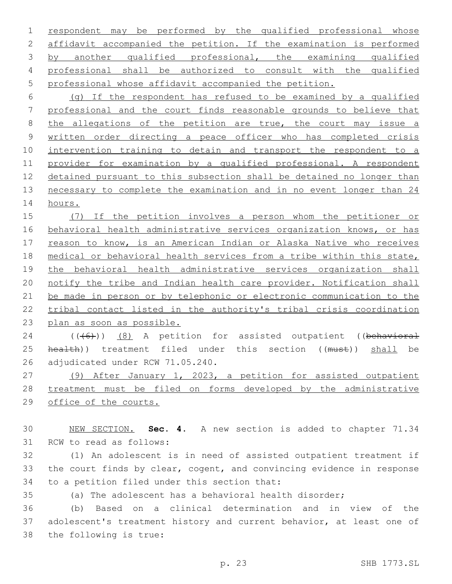respondent may be performed by the qualified professional whose affidavit accompanied the petition. If the examination is performed by another qualified professional, the examining qualified professional shall be authorized to consult with the qualified professional whose affidavit accompanied the petition.

 (g) If the respondent has refused to be examined by a qualified professional and the court finds reasonable grounds to believe that 8 the allegations of the petition are true, the court may issue a written order directing a peace officer who has completed crisis intervention training to detain and transport the respondent to a provider for examination by a qualified professional. A respondent detained pursuant to this subsection shall be detained no longer than necessary to complete the examination and in no event longer than 24 hours.

 (7) If the petition involves a person whom the petitioner or behavioral health administrative services organization knows, or has 17 reason to know, is an American Indian or Alaska Native who receives medical or behavioral health services from a tribe within this state, 19 the behavioral health administrative services organization shall notify the tribe and Indian health care provider. Notification shall be made in person or by telephonic or electronic communication to the tribal contact listed in the authority's tribal crisis coordination plan as soon as possible.

24 (((6)) (8) A petition for assisted outpatient ((behavioral 25 health)) treatment filed under this section ((must)) shall be 26 adjudicated under RCW 71.05.240.

 (9) After January 1, 2023, a petition for assisted outpatient treatment must be filed on forms developed by the administrative office of the courts.

 NEW SECTION. **Sec. 4.** A new section is added to chapter 71.34 31 RCW to read as follows:

 (1) An adolescent is in need of assisted outpatient treatment if the court finds by clear, cogent, and convincing evidence in response 34 to a petition filed under this section that:

(a) The adolescent has a behavioral health disorder;

 (b) Based on a clinical determination and in view of the adolescent's treatment history and current behavior, at least one of 38 the following is true: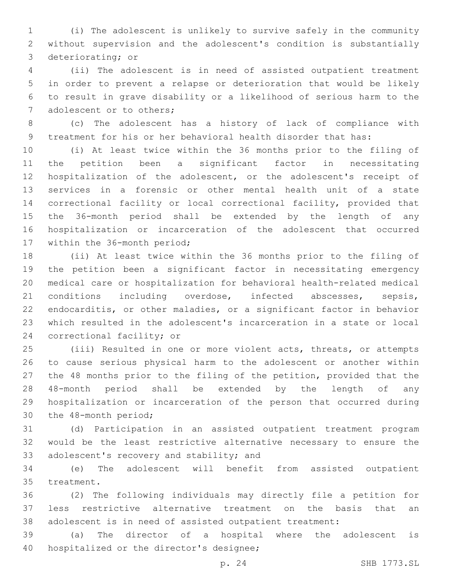(i) The adolescent is unlikely to survive safely in the community without supervision and the adolescent's condition is substantially 3 deteriorating; or

 (ii) The adolescent is in need of assisted outpatient treatment in order to prevent a relapse or deterioration that would be likely to result in grave disability or a likelihood of serious harm to the 7 adolescent or to others;

 (c) The adolescent has a history of lack of compliance with treatment for his or her behavioral health disorder that has:

 (i) At least twice within the 36 months prior to the filing of the petition been a significant factor in necessitating hospitalization of the adolescent, or the adolescent's receipt of services in a forensic or other mental health unit of a state correctional facility or local correctional facility, provided that the 36-month period shall be extended by the length of any hospitalization or incarceration of the adolescent that occurred 17 within the 36-month period;

 (ii) At least twice within the 36 months prior to the filing of the petition been a significant factor in necessitating emergency medical care or hospitalization for behavioral health-related medical conditions including overdose, infected abscesses, sepsis, endocarditis, or other maladies, or a significant factor in behavior which resulted in the adolescent's incarceration in a state or local 24 correctional facility; or

 (iii) Resulted in one or more violent acts, threats, or attempts to cause serious physical harm to the adolescent or another within the 48 months prior to the filing of the petition, provided that the 48-month period shall be extended by the length of any hospitalization or incarceration of the person that occurred during 30 the 48-month period;

 (d) Participation in an assisted outpatient treatment program would be the least restrictive alternative necessary to ensure the 33 adolescent's recovery and stability; and

 (e) The adolescent will benefit from assisted outpatient 35 treatment.

 (2) The following individuals may directly file a petition for less restrictive alternative treatment on the basis that an adolescent is in need of assisted outpatient treatment:

 (a) The director of a hospital where the adolescent is 40 hospitalized or the director's designee;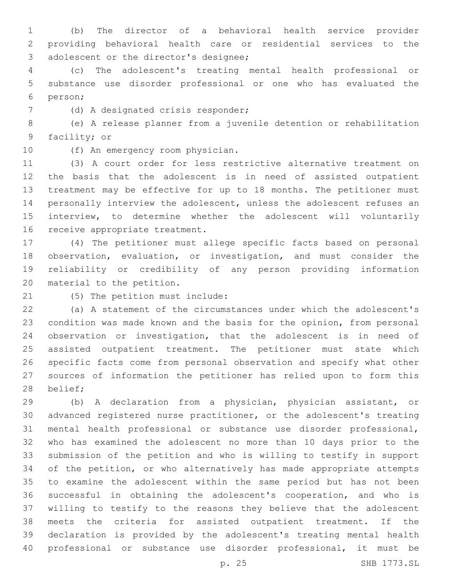(b) The director of a behavioral health service provider providing behavioral health care or residential services to the 3 adolescent or the director's designee;

 (c) The adolescent's treating mental health professional or substance use disorder professional or one who has evaluated the person;6

7 (d) A designated crisis responder;

 (e) A release planner from a juvenile detention or rehabilitation 9 facility; or

10 (f) An emergency room physician.

 (3) A court order for less restrictive alternative treatment on the basis that the adolescent is in need of assisted outpatient treatment may be effective for up to 18 months. The petitioner must personally interview the adolescent, unless the adolescent refuses an interview, to determine whether the adolescent will voluntarily 16 receive appropriate treatment.

 (4) The petitioner must allege specific facts based on personal observation, evaluation, or investigation, and must consider the reliability or credibility of any person providing information 20 material to the petition.

21 (5) The petition must include:

 (a) A statement of the circumstances under which the adolescent's condition was made known and the basis for the opinion, from personal observation or investigation, that the adolescent is in need of assisted outpatient treatment. The petitioner must state which specific facts come from personal observation and specify what other sources of information the petitioner has relied upon to form this 28 belief;

 (b) A declaration from a physician, physician assistant, or advanced registered nurse practitioner, or the adolescent's treating mental health professional or substance use disorder professional, who has examined the adolescent no more than 10 days prior to the submission of the petition and who is willing to testify in support of the petition, or who alternatively has made appropriate attempts to examine the adolescent within the same period but has not been successful in obtaining the adolescent's cooperation, and who is willing to testify to the reasons they believe that the adolescent meets the criteria for assisted outpatient treatment. If the declaration is provided by the adolescent's treating mental health professional or substance use disorder professional, it must be

p. 25 SHB 1773.SL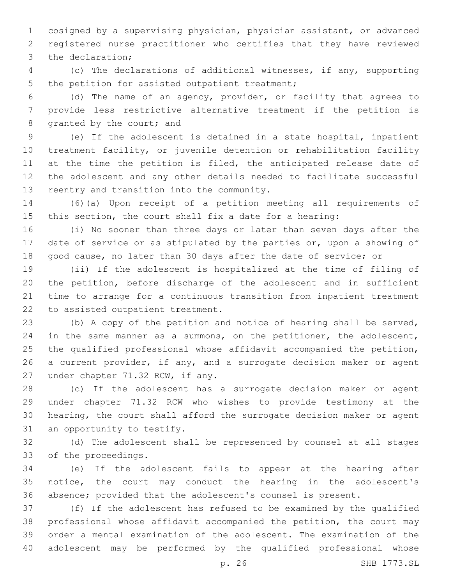cosigned by a supervising physician, physician assistant, or advanced registered nurse practitioner who certifies that they have reviewed 3 the declaration;

 (c) The declarations of additional witnesses, if any, supporting 5 the petition for assisted outpatient treatment;

 (d) The name of an agency, provider, or facility that agrees to provide less restrictive alternative treatment if the petition is 8 granted by the court; and

 (e) If the adolescent is detained in a state hospital, inpatient treatment facility, or juvenile detention or rehabilitation facility 11 at the time the petition is filed, the anticipated release date of the adolescent and any other details needed to facilitate successful 13 reentry and transition into the community.

 (6)(a) Upon receipt of a petition meeting all requirements of this section, the court shall fix a date for a hearing:

 (i) No sooner than three days or later than seven days after the date of service or as stipulated by the parties or, upon a showing of good cause, no later than 30 days after the date of service; or

 (ii) If the adolescent is hospitalized at the time of filing of the petition, before discharge of the adolescent and in sufficient time to arrange for a continuous transition from inpatient treatment 22 to assisted outpatient treatment.

 (b) A copy of the petition and notice of hearing shall be served, 24 in the same manner as a summons, on the petitioner, the adolescent, the qualified professional whose affidavit accompanied the petition, a current provider, if any, and a surrogate decision maker or agent 27 under chapter 71.32 RCW, if any.

 (c) If the adolescent has a surrogate decision maker or agent under chapter 71.32 RCW who wishes to provide testimony at the hearing, the court shall afford the surrogate decision maker or agent 31 an opportunity to testify.

 (d) The adolescent shall be represented by counsel at all stages 33 of the proceedings.

 (e) If the adolescent fails to appear at the hearing after notice, the court may conduct the hearing in the adolescent's absence; provided that the adolescent's counsel is present.

 (f) If the adolescent has refused to be examined by the qualified professional whose affidavit accompanied the petition, the court may order a mental examination of the adolescent. The examination of the adolescent may be performed by the qualified professional whose

p. 26 SHB 1773.SL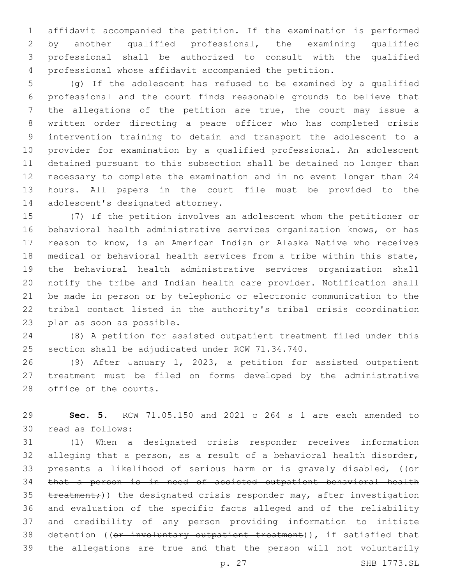affidavit accompanied the petition. If the examination is performed by another qualified professional, the examining qualified professional shall be authorized to consult with the qualified professional whose affidavit accompanied the petition.

 (g) If the adolescent has refused to be examined by a qualified professional and the court finds reasonable grounds to believe that the allegations of the petition are true, the court may issue a written order directing a peace officer who has completed crisis intervention training to detain and transport the adolescent to a provider for examination by a qualified professional. An adolescent detained pursuant to this subsection shall be detained no longer than necessary to complete the examination and in no event longer than 24 hours. All papers in the court file must be provided to the 14 adolescent's designated attorney.

 (7) If the petition involves an adolescent whom the petitioner or behavioral health administrative services organization knows, or has reason to know, is an American Indian or Alaska Native who receives medical or behavioral health services from a tribe within this state, the behavioral health administrative services organization shall notify the tribe and Indian health care provider. Notification shall be made in person or by telephonic or electronic communication to the tribal contact listed in the authority's tribal crisis coordination 23 plan as soon as possible.

 (8) A petition for assisted outpatient treatment filed under this 25 section shall be adjudicated under RCW 71.34.740.

 (9) After January 1, 2023, a petition for assisted outpatient treatment must be filed on forms developed by the administrative 28 office of the courts.

 **Sec. 5.** RCW 71.05.150 and 2021 c 264 s 1 are each amended to 30 read as follows:

 (1) When a designated crisis responder receives information alleging that a person, as a result of a behavioral health disorder, 33 presents a likelihood of serious harm or is gravely disabled,  $(0 +$  that a person is in need of assisted outpatient behavioral health 35 treatment;)) the designated crisis responder may, after investigation and evaluation of the specific facts alleged and of the reliability and credibility of any person providing information to initiate 38 detention ((or involuntary outpatient treatment)), if satisfied that the allegations are true and that the person will not voluntarily

p. 27 SHB 1773.SL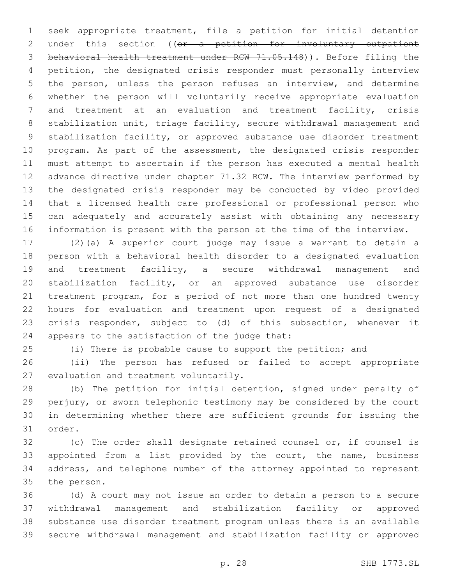seek appropriate treatment, file a petition for initial detention 2 under this section ((or a petition for involuntary outpatient behavioral health treatment under RCW 71.05.148)). Before filing the petition, the designated crisis responder must personally interview the person, unless the person refuses an interview, and determine whether the person will voluntarily receive appropriate evaluation and treatment at an evaluation and treatment facility, crisis stabilization unit, triage facility, secure withdrawal management and stabilization facility, or approved substance use disorder treatment program. As part of the assessment, the designated crisis responder must attempt to ascertain if the person has executed a mental health advance directive under chapter 71.32 RCW. The interview performed by the designated crisis responder may be conducted by video provided that a licensed health care professional or professional person who can adequately and accurately assist with obtaining any necessary information is present with the person at the time of the interview.

 (2)(a) A superior court judge may issue a warrant to detain a person with a behavioral health disorder to a designated evaluation and treatment facility, a secure withdrawal management and stabilization facility, or an approved substance use disorder treatment program, for a period of not more than one hundred twenty hours for evaluation and treatment upon request of a designated crisis responder, subject to (d) of this subsection, whenever it 24 appears to the satisfaction of the judge that:

(i) There is probable cause to support the petition; and

 (ii) The person has refused or failed to accept appropriate 27 evaluation and treatment voluntarily.

 (b) The petition for initial detention, signed under penalty of perjury, or sworn telephonic testimony may be considered by the court in determining whether there are sufficient grounds for issuing the 31 order.

 (c) The order shall designate retained counsel or, if counsel is appointed from a list provided by the court, the name, business address, and telephone number of the attorney appointed to represent 35 the person.

 (d) A court may not issue an order to detain a person to a secure withdrawal management and stabilization facility or approved substance use disorder treatment program unless there is an available secure withdrawal management and stabilization facility or approved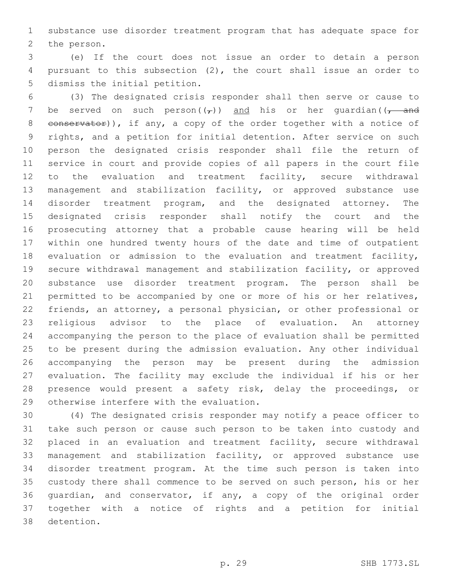substance use disorder treatment program that has adequate space for 2 the person.

 (e) If the court does not issue an order to detain a person pursuant to this subsection (2), the court shall issue an order to 5 dismiss the initial petition.

 (3) The designated crisis responder shall then serve or cause to 7 be served on such person $((\tau))$  and his or her quardian $((\tau)^{-}$ 8 conservator)), if any, a copy of the order together with a notice of rights, and a petition for initial detention. After service on such person the designated crisis responder shall file the return of service in court and provide copies of all papers in the court file to the evaluation and treatment facility, secure withdrawal management and stabilization facility, or approved substance use disorder treatment program, and the designated attorney. The designated crisis responder shall notify the court and the prosecuting attorney that a probable cause hearing will be held within one hundred twenty hours of the date and time of outpatient evaluation or admission to the evaluation and treatment facility, secure withdrawal management and stabilization facility, or approved substance use disorder treatment program. The person shall be permitted to be accompanied by one or more of his or her relatives, friends, an attorney, a personal physician, or other professional or religious advisor to the place of evaluation. An attorney accompanying the person to the place of evaluation shall be permitted to be present during the admission evaluation. Any other individual accompanying the person may be present during the admission evaluation. The facility may exclude the individual if his or her presence would present a safety risk, delay the proceedings, or 29 otherwise interfere with the evaluation.

 (4) The designated crisis responder may notify a peace officer to take such person or cause such person to be taken into custody and placed in an evaluation and treatment facility, secure withdrawal management and stabilization facility, or approved substance use disorder treatment program. At the time such person is taken into custody there shall commence to be served on such person, his or her guardian, and conservator, if any, a copy of the original order together with a notice of rights and a petition for initial 38 detention.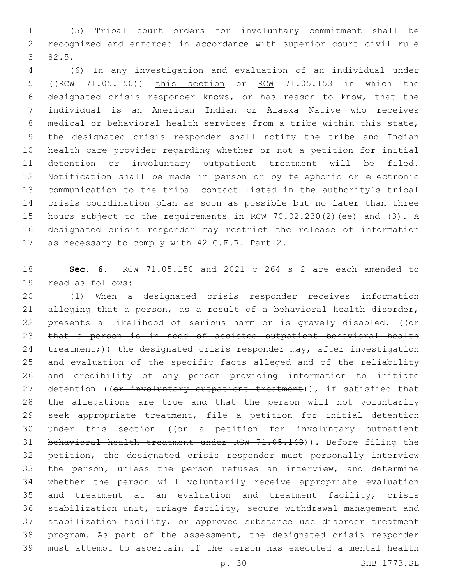(5) Tribal court orders for involuntary commitment shall be recognized and enforced in accordance with superior court civil rule 82.5.3

 (6) In any investigation and evaluation of an individual under ((RCW 71.05.150)) this section or RCW 71.05.153 in which the designated crisis responder knows, or has reason to know, that the individual is an American Indian or Alaska Native who receives medical or behavioral health services from a tribe within this state, the designated crisis responder shall notify the tribe and Indian health care provider regarding whether or not a petition for initial detention or involuntary outpatient treatment will be filed. Notification shall be made in person or by telephonic or electronic communication to the tribal contact listed in the authority's tribal crisis coordination plan as soon as possible but no later than three hours subject to the requirements in RCW 70.02.230(2)(ee) and (3). A designated crisis responder may restrict the release of information 17 as necessary to comply with 42 C.F.R. Part 2.

 **Sec. 6.** RCW 71.05.150 and 2021 c 264 s 2 are each amended to 19 read as follows:

 (1) When a designated crisis responder receives information alleging that a person, as a result of a behavioral health disorder, 22 presents a likelihood of serious harm or is gravely disabled,  $(0 +$  that a person is in need of assisted outpatient behavioral health 24 treatment;)) the designated crisis responder may, after investigation and evaluation of the specific facts alleged and of the reliability and credibility of any person providing information to initiate 27 detention ((or involuntary outpatient treatment)), if satisfied that the allegations are true and that the person will not voluntarily seek appropriate treatment, file a petition for initial detention 30 under this section ((or a petition for involuntary outpatient behavioral health treatment under RCW 71.05.148)). Before filing the petition, the designated crisis responder must personally interview the person, unless the person refuses an interview, and determine whether the person will voluntarily receive appropriate evaluation and treatment at an evaluation and treatment facility, crisis stabilization unit, triage facility, secure withdrawal management and stabilization facility, or approved substance use disorder treatment program. As part of the assessment, the designated crisis responder must attempt to ascertain if the person has executed a mental health

p. 30 SHB 1773.SL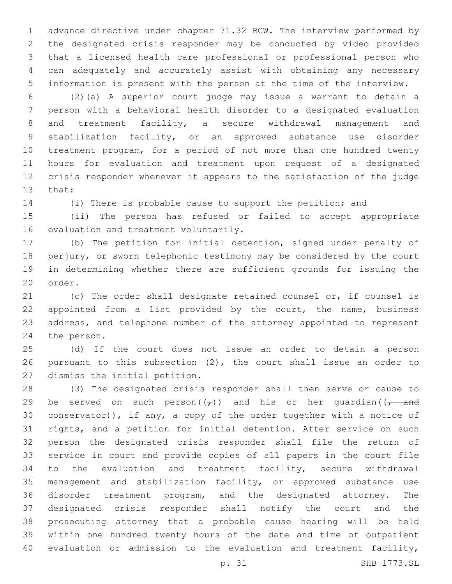advance directive under chapter 71.32 RCW. The interview performed by the designated crisis responder may be conducted by video provided that a licensed health care professional or professional person who can adequately and accurately assist with obtaining any necessary information is present with the person at the time of the interview.

 (2)(a) A superior court judge may issue a warrant to detain a person with a behavioral health disorder to a designated evaluation and treatment facility, a secure withdrawal management and stabilization facility, or an approved substance use disorder treatment program, for a period of not more than one hundred twenty hours for evaluation and treatment upon request of a designated crisis responder whenever it appears to the satisfaction of the judge 13 that:

(i) There is probable cause to support the petition; and

 (ii) The person has refused or failed to accept appropriate 16 evaluation and treatment voluntarily.

 (b) The petition for initial detention, signed under penalty of perjury, or sworn telephonic testimony may be considered by the court in determining whether there are sufficient grounds for issuing the 20 order.

 (c) The order shall designate retained counsel or, if counsel is 22 appointed from a list provided by the court, the name, business address, and telephone number of the attorney appointed to represent 24 the person.

 (d) If the court does not issue an order to detain a person pursuant to this subsection (2), the court shall issue an order to 27 dismiss the initial petition.

 (3) The designated crisis responder shall then serve or cause to 29 be served on such person( $(\tau)$ ) and his or her quardian( $(\tau$  and 30 conservator)), if any, a copy of the order together with a notice of rights, and a petition for initial detention. After service on such person the designated crisis responder shall file the return of service in court and provide copies of all papers in the court file to the evaluation and treatment facility, secure withdrawal management and stabilization facility, or approved substance use disorder treatment program, and the designated attorney. The designated crisis responder shall notify the court and the prosecuting attorney that a probable cause hearing will be held within one hundred twenty hours of the date and time of outpatient evaluation or admission to the evaluation and treatment facility,

p. 31 SHB 1773.SL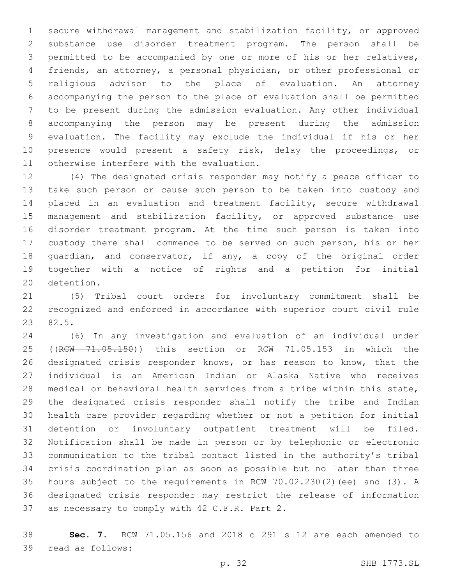secure withdrawal management and stabilization facility, or approved substance use disorder treatment program. The person shall be permitted to be accompanied by one or more of his or her relatives, friends, an attorney, a personal physician, or other professional or religious advisor to the place of evaluation. An attorney accompanying the person to the place of evaluation shall be permitted to be present during the admission evaluation. Any other individual accompanying the person may be present during the admission evaluation. The facility may exclude the individual if his or her presence would present a safety risk, delay the proceedings, or 11 otherwise interfere with the evaluation.

 (4) The designated crisis responder may notify a peace officer to take such person or cause such person to be taken into custody and placed in an evaluation and treatment facility, secure withdrawal 15 management and stabilization facility, or approved substance use disorder treatment program. At the time such person is taken into custody there shall commence to be served on such person, his or her guardian, and conservator, if any, a copy of the original order together with a notice of rights and a petition for initial 20 detention.

 (5) Tribal court orders for involuntary commitment shall be recognized and enforced in accordance with superior court civil rule 23 82.5.

 (6) In any investigation and evaluation of an individual under 25 ((RCW 71.05.150)) this section or RCW 71.05.153 in which the designated crisis responder knows, or has reason to know, that the individual is an American Indian or Alaska Native who receives medical or behavioral health services from a tribe within this state, the designated crisis responder shall notify the tribe and Indian health care provider regarding whether or not a petition for initial detention or involuntary outpatient treatment will be filed. Notification shall be made in person or by telephonic or electronic communication to the tribal contact listed in the authority's tribal crisis coordination plan as soon as possible but no later than three hours subject to the requirements in RCW 70.02.230(2)(ee) and (3). A designated crisis responder may restrict the release of information 37 as necessary to comply with 42 C.F.R. Part 2.

 **Sec. 7.** RCW 71.05.156 and 2018 c 291 s 12 are each amended to 39 read as follows: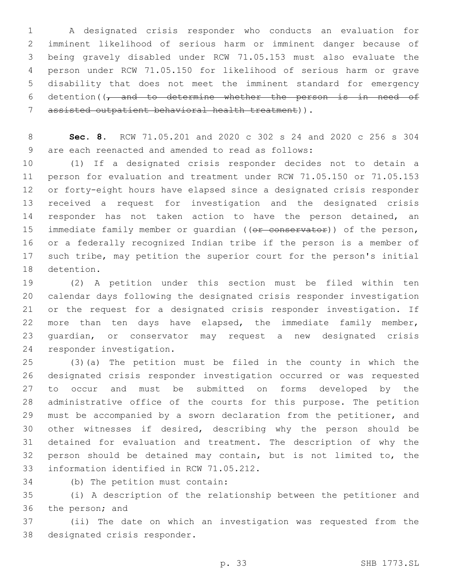A designated crisis responder who conducts an evaluation for imminent likelihood of serious harm or imminent danger because of being gravely disabled under RCW 71.05.153 must also evaluate the person under RCW 71.05.150 for likelihood of serious harm or grave disability that does not meet the imminent standard for emergency 6 detention( $\sqrt{t}$  and to determine whether the person is in need of assisted outpatient behavioral health treatment)).7

 **Sec. 8.** RCW 71.05.201 and 2020 c 302 s 24 and 2020 c 256 s 304 9 are each reenacted and amended to read as follows:

 (1) If a designated crisis responder decides not to detain a person for evaluation and treatment under RCW 71.05.150 or 71.05.153 or forty-eight hours have elapsed since a designated crisis responder received a request for investigation and the designated crisis 14 responder has not taken action to have the person detained, an 15 immediate family member or quardian ((or conservator)) of the person, or a federally recognized Indian tribe if the person is a member of such tribe, may petition the superior court for the person's initial 18 detention.

 (2) A petition under this section must be filed within ten calendar days following the designated crisis responder investigation or the request for a designated crisis responder investigation. If more than ten days have elapsed, the immediate family member, guardian, or conservator may request a new designated crisis 24 responder investigation.

 (3)(a) The petition must be filed in the county in which the designated crisis responder investigation occurred or was requested to occur and must be submitted on forms developed by the administrative office of the courts for this purpose. The petition must be accompanied by a sworn declaration from the petitioner, and other witnesses if desired, describing why the person should be detained for evaluation and treatment. The description of why the person should be detained may contain, but is not limited to, the 33 information identified in RCW 71.05.212.

34 (b) The petition must contain:

 (i) A description of the relationship between the petitioner and 36 the person; and

 (ii) The date on which an investigation was requested from the 38 designated crisis responder.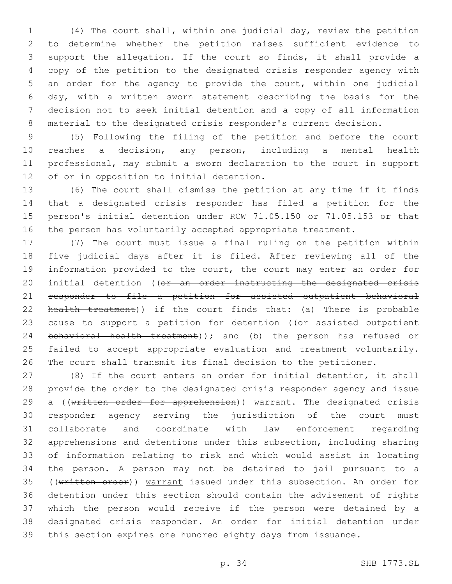(4) The court shall, within one judicial day, review the petition to determine whether the petition raises sufficient evidence to support the allegation. If the court so finds, it shall provide a copy of the petition to the designated crisis responder agency with an order for the agency to provide the court, within one judicial day, with a written sworn statement describing the basis for the decision not to seek initial detention and a copy of all information material to the designated crisis responder's current decision.

 (5) Following the filing of the petition and before the court reaches a decision, any person, including a mental health professional, may submit a sworn declaration to the court in support 12 of or in opposition to initial detention.

 (6) The court shall dismiss the petition at any time if it finds that a designated crisis responder has filed a petition for the person's initial detention under RCW 71.05.150 or 71.05.153 or that the person has voluntarily accepted appropriate treatment.

 (7) The court must issue a final ruling on the petition within five judicial days after it is filed. After reviewing all of the information provided to the court, the court may enter an order for 20 initial detention ((or an order instructing the designated crisis responder to file a petition for assisted outpatient behavioral 22 health treatment)) if the court finds that: (a) There is probable 23 cause to support a petition for detention ((or assisted outpatient 24 behavioral health treatment)); and (b) the person has refused or failed to accept appropriate evaluation and treatment voluntarily. The court shall transmit its final decision to the petitioner.

 (8) If the court enters an order for initial detention, it shall provide the order to the designated crisis responder agency and issue 29 a ((written order for apprehension)) warrant. The designated crisis responder agency serving the jurisdiction of the court must collaborate and coordinate with law enforcement regarding apprehensions and detentions under this subsection, including sharing of information relating to risk and which would assist in locating the person. A person may not be detained to jail pursuant to a 35 ((written order)) warrant issued under this subsection. An order for detention under this section should contain the advisement of rights which the person would receive if the person were detained by a designated crisis responder. An order for initial detention under this section expires one hundred eighty days from issuance.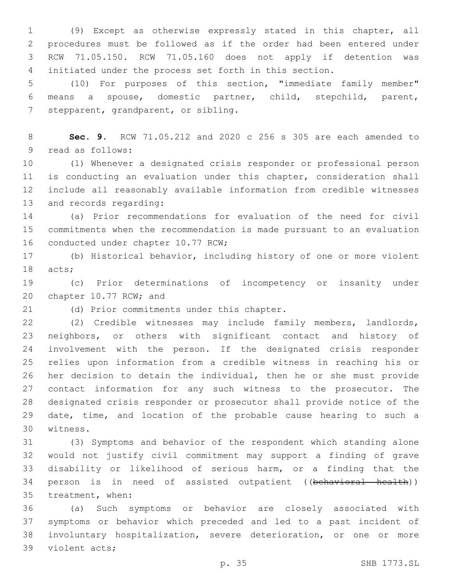(9) Except as otherwise expressly stated in this chapter, all procedures must be followed as if the order had been entered under RCW 71.05.150. RCW 71.05.160 does not apply if detention was initiated under the process set forth in this section.

 (10) For purposes of this section, "immediate family member" means a spouse, domestic partner, child, stepchild, parent, 7 stepparent, grandparent, or sibling.

 **Sec. 9.** RCW 71.05.212 and 2020 c 256 s 305 are each amended to 9 read as follows:

 (1) Whenever a designated crisis responder or professional person is conducting an evaluation under this chapter, consideration shall include all reasonably available information from credible witnesses 13 and records regarding:

 (a) Prior recommendations for evaluation of the need for civil commitments when the recommendation is made pursuant to an evaluation 16 conducted under chapter 10.77 RCW;

 (b) Historical behavior, including history of one or more violent 18 acts;

 (c) Prior determinations of incompetency or insanity under 20 chapter 10.77 RCW; and

21 (d) Prior commitments under this chapter.

 (2) Credible witnesses may include family members, landlords, neighbors, or others with significant contact and history of involvement with the person. If the designated crisis responder relies upon information from a credible witness in reaching his or her decision to detain the individual, then he or she must provide contact information for any such witness to the prosecutor. The designated crisis responder or prosecutor shall provide notice of the date, time, and location of the probable cause hearing to such a 30 witness.

 (3) Symptoms and behavior of the respondent which standing alone would not justify civil commitment may support a finding of grave disability or likelihood of serious harm, or a finding that the 34 person is in need of assisted outpatient ((behavioral health)) 35 treatment, when:

 (a) Such symptoms or behavior are closely associated with symptoms or behavior which preceded and led to a past incident of involuntary hospitalization, severe deterioration, or one or more 39 violent acts;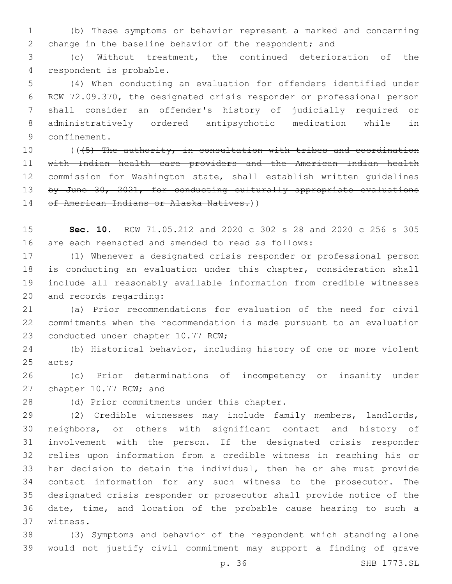(b) These symptoms or behavior represent a marked and concerning change in the baseline behavior of the respondent; and

 (c) Without treatment, the continued deterioration of the 4 respondent is probable.

 (4) When conducting an evaluation for offenders identified under RCW 72.09.370, the designated crisis responder or professional person shall consider an offender's history of judicially required or administratively ordered antipsychotic medication while in 9 confinement.

10 ((45) The authority, in consultation with tribes and coordination with Indian health care providers and the American Indian health commission for Washington state, shall establish written guidelines 13 by June 30, 2021, for conducting culturally appropriate evaluations 14 of American Indians or Alaska Natives.))

 **Sec. 10.** RCW 71.05.212 and 2020 c 302 s 28 and 2020 c 256 s 305 are each reenacted and amended to read as follows:

 (1) Whenever a designated crisis responder or professional person is conducting an evaluation under this chapter, consideration shall include all reasonably available information from credible witnesses 20 and records regarding:

 (a) Prior recommendations for evaluation of the need for civil commitments when the recommendation is made pursuant to an evaluation 23 conducted under chapter 10.77 RCW;

 (b) Historical behavior, including history of one or more violent 25 acts;

 (c) Prior determinations of incompetency or insanity under 27 chapter 10.77 RCW; and

28 (d) Prior commitments under this chapter.

 (2) Credible witnesses may include family members, landlords, neighbors, or others with significant contact and history of involvement with the person. If the designated crisis responder relies upon information from a credible witness in reaching his or her decision to detain the individual, then he or she must provide contact information for any such witness to the prosecutor. The designated crisis responder or prosecutor shall provide notice of the date, time, and location of the probable cause hearing to such a 37 witness.

 (3) Symptoms and behavior of the respondent which standing alone would not justify civil commitment may support a finding of grave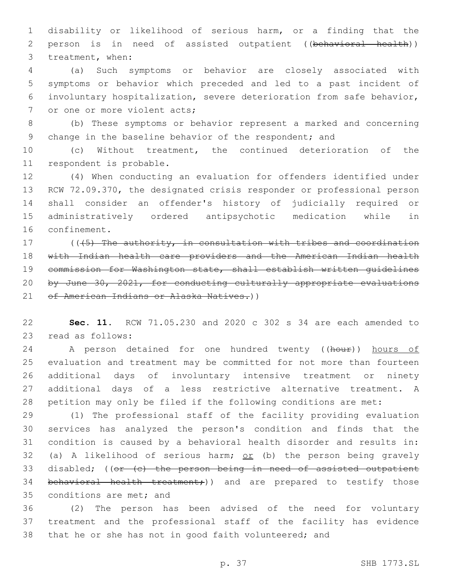disability or likelihood of serious harm, or a finding that the person is in need of assisted outpatient ((behavioral health)) 3 treatment, when:

 (a) Such symptoms or behavior are closely associated with symptoms or behavior which preceded and led to a past incident of involuntary hospitalization, severe deterioration from safe behavior, 7 or one or more violent acts;

 (b) These symptoms or behavior represent a marked and concerning 9 change in the baseline behavior of the respondent; and

 (c) Without treatment, the continued deterioration of the 11 respondent is probable.

 (4) When conducting an evaluation for offenders identified under RCW 72.09.370, the designated crisis responder or professional person shall consider an offender's history of judicially required or administratively ordered antipsychotic medication while in 16 confinement.

17 ((45) The authority, in consultation with tribes and coordination with Indian health care providers and the American Indian health commission for Washington state, shall establish written guidelines by June 30, 2021, for conducting culturally appropriate evaluations 21 of American Indians or Alaska Natives.))

 **Sec. 11.** RCW 71.05.230 and 2020 c 302 s 34 are each amended to 23 read as follows:

24 A person detained for one hundred twenty ((hour)) hours of evaluation and treatment may be committed for not more than fourteen additional days of involuntary intensive treatment or ninety additional days of a less restrictive alternative treatment. A petition may only be filed if the following conditions are met:

 (1) The professional staff of the facility providing evaluation services has analyzed the person's condition and finds that the condition is caused by a behavioral health disorder and results in: 32 (a) A likelihood of serious harm;  $or$  (b) the person being gravely 33 disabled; ((or (c) the person being in need of assisted outpatient 34 behavioral health treatment;)) and are prepared to testify those 35 conditions are met; and

 (2) The person has been advised of the need for voluntary treatment and the professional staff of the facility has evidence that he or she has not in good faith volunteered; and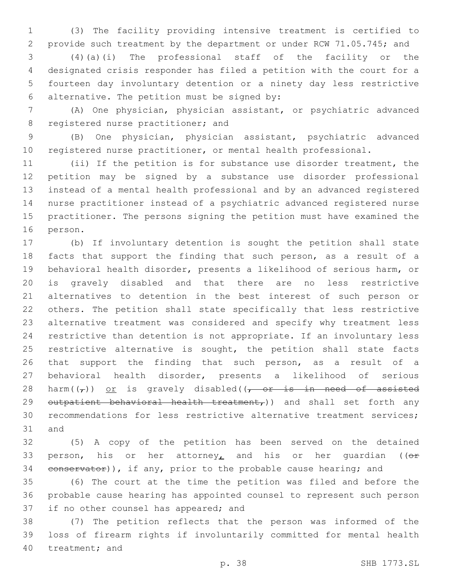(3) The facility providing intensive treatment is certified to provide such treatment by the department or under RCW 71.05.745; and

 (4)(a)(i) The professional staff of the facility or the designated crisis responder has filed a petition with the court for a fourteen day involuntary detention or a ninety day less restrictive alternative. The petition must be signed by:6

 (A) One physician, physician assistant, or psychiatric advanced 8 registered nurse practitioner; and

 (B) One physician, physician assistant, psychiatric advanced registered nurse practitioner, or mental health professional.

 (ii) If the petition is for substance use disorder treatment, the petition may be signed by a substance use disorder professional instead of a mental health professional and by an advanced registered nurse practitioner instead of a psychiatric advanced registered nurse practitioner. The persons signing the petition must have examined the 16 person.

 (b) If involuntary detention is sought the petition shall state facts that support the finding that such person, as a result of a behavioral health disorder, presents a likelihood of serious harm, or is gravely disabled and that there are no less restrictive alternatives to detention in the best interest of such person or others. The petition shall state specifically that less restrictive alternative treatment was considered and specify why treatment less restrictive than detention is not appropriate. If an involuntary less 25 restrictive alternative is sought, the petition shall state facts 26 that support the finding that such person, as a result of a behavioral health disorder, presents a likelihood of serious 28 harm( $(\tau)$ ) or is gravely disabled( $\tau$  or is in need of assisted 29 outpatient behavioral health treatment,)) and shall set forth any recommendations for less restrictive alternative treatment services; 31 and

 (5) A copy of the petition has been served on the detained 33 person, his or her attorney, and his or her quardian ( $(e^+e^-)$ 34 conservator)), if any, prior to the probable cause hearing; and

 (6) The court at the time the petition was filed and before the probable cause hearing has appointed counsel to represent such person 37 if no other counsel has appeared; and

 (7) The petition reflects that the person was informed of the loss of firearm rights if involuntarily committed for mental health 40 treatment; and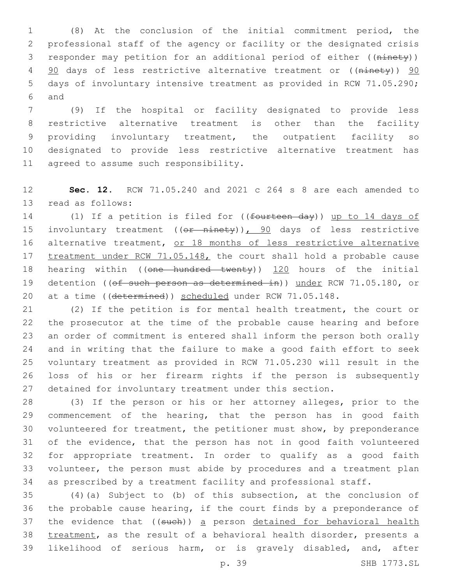(8) At the conclusion of the initial commitment period, the professional staff of the agency or facility or the designated crisis responder may petition for an additional period of either ((ninety)) 4 90 days of less restrictive alternative treatment or ((ninety)) 90 days of involuntary intensive treatment as provided in RCW 71.05.290; 6 and

 (9) If the hospital or facility designated to provide less restrictive alternative treatment is other than the facility providing involuntary treatment, the outpatient facility so designated to provide less restrictive alternative treatment has 11 agreed to assume such responsibility.

 **Sec. 12.** RCW 71.05.240 and 2021 c 264 s 8 are each amended to 13 read as follows:

14 (1) If a petition is filed for ((fourteen day)) up to 14 days of 15 involuntary treatment ((or ninety)), 90 days of less restrictive 16 alternative treatment, or 18 months of less restrictive alternative 17 treatment under RCW 71.05.148, the court shall hold a probable cause 18 hearing within ((one hundred twenty)) 120 hours of the initial 19 detention ((of such person as determined in)) under RCW 71.05.180, or 20 at a time ((determined)) scheduled under RCW 71.05.148.

 (2) If the petition is for mental health treatment, the court or the prosecutor at the time of the probable cause hearing and before an order of commitment is entered shall inform the person both orally and in writing that the failure to make a good faith effort to seek voluntary treatment as provided in RCW 71.05.230 will result in the loss of his or her firearm rights if the person is subsequently detained for involuntary treatment under this section.

 (3) If the person or his or her attorney alleges, prior to the commencement of the hearing, that the person has in good faith volunteered for treatment, the petitioner must show, by preponderance of the evidence, that the person has not in good faith volunteered for appropriate treatment. In order to qualify as a good faith volunteer, the person must abide by procedures and a treatment plan as prescribed by a treatment facility and professional staff.

 (4)(a) Subject to (b) of this subsection, at the conclusion of the probable cause hearing, if the court finds by a preponderance of 37 the evidence that ((such)) a person detained for behavioral health treatment, as the result of a behavioral health disorder, presents a likelihood of serious harm, or is gravely disabled, and, after

p. 39 SHB 1773.SL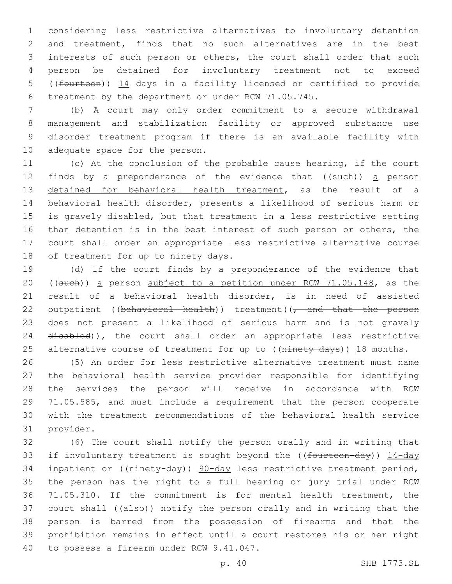considering less restrictive alternatives to involuntary detention and treatment, finds that no such alternatives are in the best interests of such person or others, the court shall order that such person be detained for involuntary treatment not to exceed ((fourteen)) 14 days in a facility licensed or certified to provide treatment by the department or under RCW 71.05.745.

 (b) A court may only order commitment to a secure withdrawal management and stabilization facility or approved substance use disorder treatment program if there is an available facility with 10 adequate space for the person.

 (c) At the conclusion of the probable cause hearing, if the court 12 finds by a preponderance of the evidence that ((such)) a person detained for behavioral health treatment, as the result of a behavioral health disorder, presents a likelihood of serious harm or is gravely disabled, but that treatment in a less restrictive setting than detention is in the best interest of such person or others, the court shall order an appropriate less restrictive alternative course 18 of treatment for up to ninety days.

 (d) If the court finds by a preponderance of the evidence that ((such)) a person subject to a petition under RCW 71.05.148, as the result of a behavioral health disorder, is in need of assisted 22 outpatient ((behavioral health)) treatment( $\sqrt{\tau}$  and that the person does not present a likelihood of serious harm and is not gravely 24 disabled)), the court shall order an appropriate less restrictive 25 alternative course of treatment for up to ((ninety days)) 18 months.

 (5) An order for less restrictive alternative treatment must name the behavioral health service provider responsible for identifying the services the person will receive in accordance with RCW 71.05.585, and must include a requirement that the person cooperate with the treatment recommendations of the behavioral health service 31 provider.

 (6) The court shall notify the person orally and in writing that 33 if involuntary treatment is sought beyond the ((fourteen-day)) 14-day 34 inpatient or ((ninety-day)) 90-day less restrictive treatment period, the person has the right to a full hearing or jury trial under RCW 71.05.310. If the commitment is for mental health treatment, the 37 court shall ((also)) notify the person orally and in writing that the person is barred from the possession of firearms and that the prohibition remains in effect until a court restores his or her right 40 to possess a firearm under RCW 9.41.047.

p. 40 SHB 1773.SL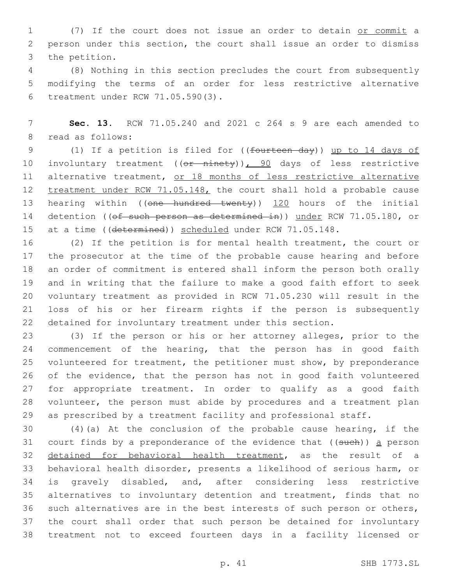(7) If the court does not issue an order to detain or commit a person under this section, the court shall issue an order to dismiss 3 the petition.

 (8) Nothing in this section precludes the court from subsequently modifying the terms of an order for less restrictive alternative treatment under RCW 71.05.590(3).6

 **Sec. 13.** RCW 71.05.240 and 2021 c 264 s 9 are each amended to 8 read as follows:

 (1) If a petition is filed for ((fourteen day)) up to 14 days of 10 involuntary treatment ((or ninety)), 90 days of less restrictive 11 alternative treatment, or 18 months of less restrictive alternative 12 treatment under RCW 71.05.148, the court shall hold a probable cause 13 hearing within ((one hundred twenty)) 120 hours of the initial 14 detention ((of such person as determined in)) under RCW 71.05.180, or 15 at a time ((determined)) scheduled under RCW 71.05.148.

 (2) If the petition is for mental health treatment, the court or the prosecutor at the time of the probable cause hearing and before an order of commitment is entered shall inform the person both orally and in writing that the failure to make a good faith effort to seek voluntary treatment as provided in RCW 71.05.230 will result in the loss of his or her firearm rights if the person is subsequently detained for involuntary treatment under this section.

 (3) If the person or his or her attorney alleges, prior to the 24 commencement of the hearing, that the person has in good faith volunteered for treatment, the petitioner must show, by preponderance of the evidence, that the person has not in good faith volunteered for appropriate treatment. In order to qualify as a good faith volunteer, the person must abide by procedures and a treatment plan as prescribed by a treatment facility and professional staff.

 (4)(a) At the conclusion of the probable cause hearing, if the 31 court finds by a preponderance of the evidence that  $($  (such)) a person detained for behavioral health treatment, as the result of a behavioral health disorder, presents a likelihood of serious harm, or is gravely disabled, and, after considering less restrictive alternatives to involuntary detention and treatment, finds that no such alternatives are in the best interests of such person or others, the court shall order that such person be detained for involuntary treatment not to exceed fourteen days in a facility licensed or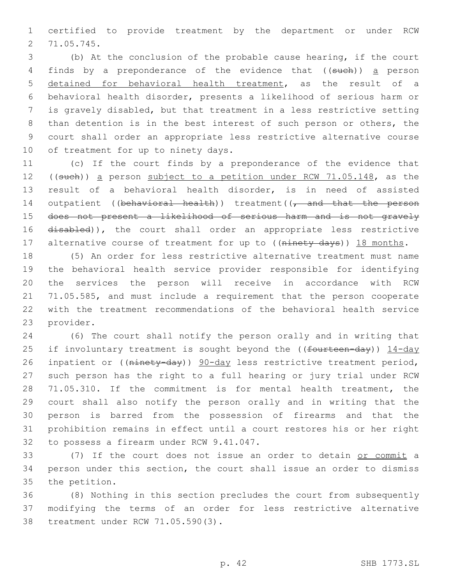certified to provide treatment by the department or under RCW 71.05.745.2

 (b) At the conclusion of the probable cause hearing, if the court 4 finds by a preponderance of the evidence that ((such)) a person detained for behavioral health treatment, as the result of a behavioral health disorder, presents a likelihood of serious harm or is gravely disabled, but that treatment in a less restrictive setting than detention is in the best interest of such person or others, the court shall order an appropriate less restrictive alternative course 10 of treatment for up to ninety days.

 (c) If the court finds by a preponderance of the evidence that 12 ((such)) a person subject to a petition under RCW 71.05.148, as the result of a behavioral health disorder, is in need of assisted 14 outpatient ((behavioral health)) treatment((, and that the person does not present a likelihood of serious harm and is not gravely 16 disabled)), the court shall order an appropriate less restrictive 17 alternative course of treatment for up to ((ninety days)) 18 months.

 (5) An order for less restrictive alternative treatment must name the behavioral health service provider responsible for identifying the services the person will receive in accordance with RCW 71.05.585, and must include a requirement that the person cooperate with the treatment recommendations of the behavioral health service 23 provider.

 (6) The court shall notify the person orally and in writing that 25 if involuntary treatment is sought beyond the ((fourteen-day)) 14-day 26 inpatient or ((ninety-day)) 90-day less restrictive treatment period, such person has the right to a full hearing or jury trial under RCW 71.05.310. If the commitment is for mental health treatment, the court shall also notify the person orally and in writing that the person is barred from the possession of firearms and that the prohibition remains in effect until a court restores his or her right 32 to possess a firearm under RCW 9.41.047.

 (7) If the court does not issue an order to detain or commit a person under this section, the court shall issue an order to dismiss 35 the petition.

 (8) Nothing in this section precludes the court from subsequently modifying the terms of an order for less restrictive alternative 38 treatment under RCW 71.05.590(3).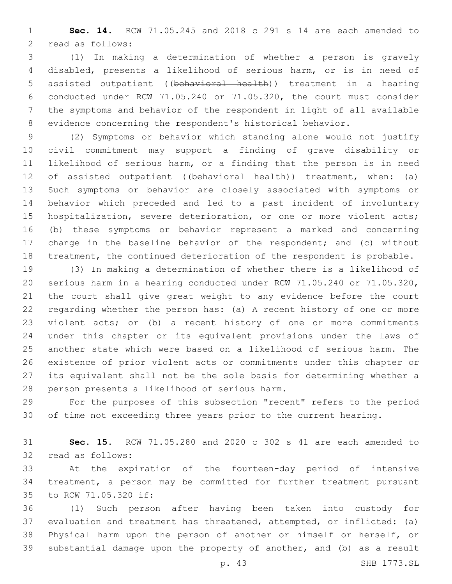**Sec. 14.** RCW 71.05.245 and 2018 c 291 s 14 are each amended to 2 read as follows:

 (1) In making a determination of whether a person is gravely disabled, presents a likelihood of serious harm, or is in need of assisted outpatient ((behavioral health)) treatment in a hearing conducted under RCW 71.05.240 or 71.05.320, the court must consider the symptoms and behavior of the respondent in light of all available evidence concerning the respondent's historical behavior.

 (2) Symptoms or behavior which standing alone would not justify civil commitment may support a finding of grave disability or likelihood of serious harm, or a finding that the person is in need 12 of assisted outpatient ((behavioral health)) treatment, when: (a) Such symptoms or behavior are closely associated with symptoms or behavior which preceded and led to a past incident of involuntary hospitalization, severe deterioration, or one or more violent acts; (b) these symptoms or behavior represent a marked and concerning change in the baseline behavior of the respondent; and (c) without treatment, the continued deterioration of the respondent is probable.

 (3) In making a determination of whether there is a likelihood of serious harm in a hearing conducted under RCW 71.05.240 or 71.05.320, the court shall give great weight to any evidence before the court regarding whether the person has: (a) A recent history of one or more violent acts; or (b) a recent history of one or more commitments under this chapter or its equivalent provisions under the laws of another state which were based on a likelihood of serious harm. The existence of prior violent acts or commitments under this chapter or its equivalent shall not be the sole basis for determining whether a 28 person presents a likelihood of serious harm.

 For the purposes of this subsection "recent" refers to the period of time not exceeding three years prior to the current hearing.

 **Sec. 15.** RCW 71.05.280 and 2020 c 302 s 41 are each amended to 32 read as follows:

 At the expiration of the fourteen-day period of intensive treatment, a person may be committed for further treatment pursuant 35 to RCW 71.05.320 if:

 (1) Such person after having been taken into custody for evaluation and treatment has threatened, attempted, or inflicted: (a) Physical harm upon the person of another or himself or herself, or substantial damage upon the property of another, and (b) as a result

p. 43 SHB 1773.SL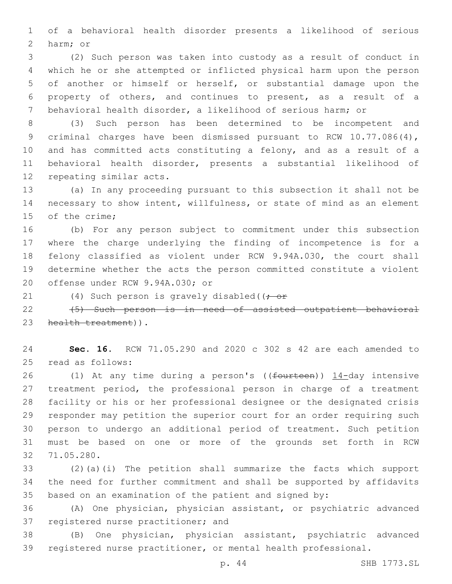of a behavioral health disorder presents a likelihood of serious 2 harm; or

 (2) Such person was taken into custody as a result of conduct in which he or she attempted or inflicted physical harm upon the person of another or himself or herself, or substantial damage upon the property of others, and continues to present, as a result of a behavioral health disorder, a likelihood of serious harm; or

 (3) Such person has been determined to be incompetent and criminal charges have been dismissed pursuant to RCW 10.77.086(4), and has committed acts constituting a felony, and as a result of a behavioral health disorder, presents a substantial likelihood of 12 repeating similar acts.

 (a) In any proceeding pursuant to this subsection it shall not be necessary to show intent, willfulness, or state of mind as an element 15 of the crime:

 (b) For any person subject to commitment under this subsection where the charge underlying the finding of incompetence is for a felony classified as violent under RCW 9.94A.030, the court shall determine whether the acts the person committed constitute a violent 20 offense under RCW 9.94A.030; or

21 (4) Such person is gravely disabled((; or

22 (5) Such person is in need of assisted outpatient behavioral 23 health treatment)).

 **Sec. 16.** RCW 71.05.290 and 2020 c 302 s 42 are each amended to 25 read as follows:

26 (1) At any time during a person's ((fourteen)) 14-day intensive treatment period, the professional person in charge of a treatment facility or his or her professional designee or the designated crisis responder may petition the superior court for an order requiring such person to undergo an additional period of treatment. Such petition must be based on one or more of the grounds set forth in RCW 71.05.280.32

 (2)(a)(i) The petition shall summarize the facts which support the need for further commitment and shall be supported by affidavits based on an examination of the patient and signed by:

 (A) One physician, physician assistant, or psychiatric advanced 37 registered nurse practitioner; and

 (B) One physician, physician assistant, psychiatric advanced registered nurse practitioner, or mental health professional.

p. 44 SHB 1773.SL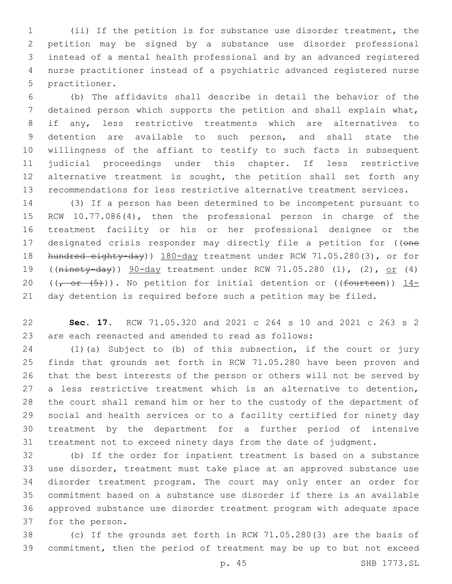(ii) If the petition is for substance use disorder treatment, the petition may be signed by a substance use disorder professional instead of a mental health professional and by an advanced registered nurse practitioner instead of a psychiatric advanced registered nurse 5 practitioner.

 (b) The affidavits shall describe in detail the behavior of the detained person which supports the petition and shall explain what, if any, less restrictive treatments which are alternatives to detention are available to such person, and shall state the willingness of the affiant to testify to such facts in subsequent judicial proceedings under this chapter. If less restrictive 12 alternative treatment is sought, the petition shall set forth any recommendations for less restrictive alternative treatment services.

 (3) If a person has been determined to be incompetent pursuant to RCW 10.77.086(4), then the professional person in charge of the treatment facility or his or her professional designee or the 17 designated crisis responder may directly file a petition for ((one 18 hundred eighty-day)) 180-day treatment under RCW 71.05.280(3), or for ((ninety-day)) 90-day treatment under RCW 71.05.280 (1), (2), or (4) 20 ( $(-$  or  $(5)$ )). No petition for initial detention or ((fourteen)) 14-day detention is required before such a petition may be filed.

 **Sec. 17.** RCW 71.05.320 and 2021 c 264 s 10 and 2021 c 263 s 2 are each reenacted and amended to read as follows:

 (1)(a) Subject to (b) of this subsection, if the court or jury finds that grounds set forth in RCW 71.05.280 have been proven and that the best interests of the person or others will not be served by a less restrictive treatment which is an alternative to detention, the court shall remand him or her to the custody of the department of social and health services or to a facility certified for ninety day treatment by the department for a further period of intensive treatment not to exceed ninety days from the date of judgment.

 (b) If the order for inpatient treatment is based on a substance use disorder, treatment must take place at an approved substance use disorder treatment program. The court may only enter an order for commitment based on a substance use disorder if there is an available approved substance use disorder treatment program with adequate space 37 for the person.

 (c) If the grounds set forth in RCW 71.05.280(3) are the basis of commitment, then the period of treatment may be up to but not exceed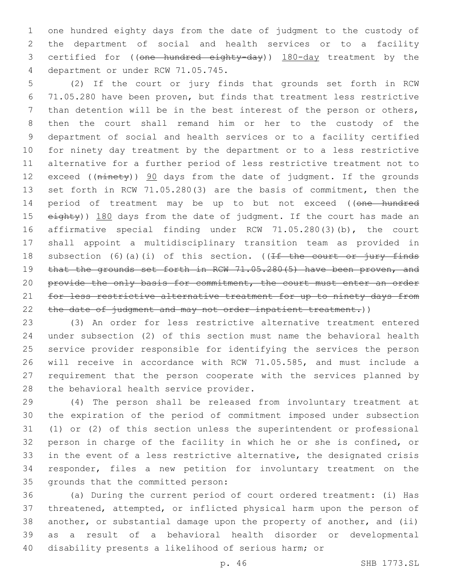one hundred eighty days from the date of judgment to the custody of the department of social and health services or to a facility 3 certified for ((one hundred eighty-day)) 180-day treatment by the 4 department or under RCW 71.05.745.

 (2) If the court or jury finds that grounds set forth in RCW 71.05.280 have been proven, but finds that treatment less restrictive than detention will be in the best interest of the person or others, then the court shall remand him or her to the custody of the department of social and health services or to a facility certified for ninety day treatment by the department or to a less restrictive alternative for a further period of less restrictive treatment not to 12 exceed ((ninety)) 90 days from the date of judgment. If the grounds set forth in RCW 71.05.280(3) are the basis of commitment, then the 14 period of treatment may be up to but not exceed ((one hundred 15 eighty)) 180 days from the date of judgment. If the court has made an affirmative special finding under RCW 71.05.280(3)(b), the court shall appoint a multidisciplinary transition team as provided in 18 subsection (6)(a)(i) of this section. ((If the court or jury finds 19 that the grounds set forth in RCW 71.05.280(5) have been proven, and 20 provide the only basis for commitment, the court must enter an order for less restrictive alternative treatment for up to ninety days from 22 the date of judgment and may not order inpatient treatment.))

 (3) An order for less restrictive alternative treatment entered under subsection (2) of this section must name the behavioral health service provider responsible for identifying the services the person will receive in accordance with RCW 71.05.585, and must include a requirement that the person cooperate with the services planned by 28 the behavioral health service provider.

 (4) The person shall be released from involuntary treatment at the expiration of the period of commitment imposed under subsection (1) or (2) of this section unless the superintendent or professional person in charge of the facility in which he or she is confined, or in the event of a less restrictive alternative, the designated crisis responder, files a new petition for involuntary treatment on the 35 grounds that the committed person:

 (a) During the current period of court ordered treatment: (i) Has threatened, attempted, or inflicted physical harm upon the person of another, or substantial damage upon the property of another, and (ii) as a result of a behavioral health disorder or developmental disability presents a likelihood of serious harm; or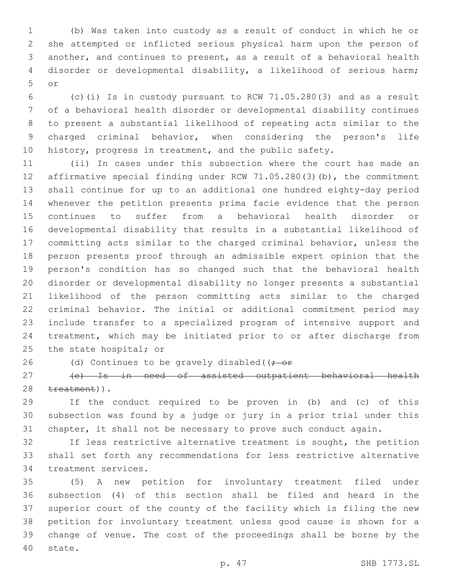(b) Was taken into custody as a result of conduct in which he or she attempted or inflicted serious physical harm upon the person of another, and continues to present, as a result of a behavioral health disorder or developmental disability, a likelihood of serious harm; or5

 (c)(i) Is in custody pursuant to RCW 71.05.280(3) and as a result of a behavioral health disorder or developmental disability continues to present a substantial likelihood of repeating acts similar to the charged criminal behavior, when considering the person's life history, progress in treatment, and the public safety.

 (ii) In cases under this subsection where the court has made an affirmative special finding under RCW 71.05.280(3)(b), the commitment shall continue for up to an additional one hundred eighty-day period whenever the petition presents prima facie evidence that the person continues to suffer from a behavioral health disorder or developmental disability that results in a substantial likelihood of committing acts similar to the charged criminal behavior, unless the person presents proof through an admissible expert opinion that the person's condition has so changed such that the behavioral health disorder or developmental disability no longer presents a substantial likelihood of the person committing acts similar to the charged criminal behavior. The initial or additional commitment period may include transfer to a specialized program of intensive support and treatment, which may be initiated prior to or after discharge from 25 the state hospital; or

26 (d) Continues to be gravely disabled( $(-e^+e^-)$ 

 (e) Is in need of assisted outpatient behavioral health 28 treatment)).

 If the conduct required to be proven in (b) and (c) of this subsection was found by a judge or jury in a prior trial under this chapter, it shall not be necessary to prove such conduct again.

 If less restrictive alternative treatment is sought, the petition shall set forth any recommendations for less restrictive alternative 34 treatment services.

 (5) A new petition for involuntary treatment filed under subsection (4) of this section shall be filed and heard in the superior court of the county of the facility which is filing the new petition for involuntary treatment unless good cause is shown for a change of venue. The cost of the proceedings shall be borne by the 40 state.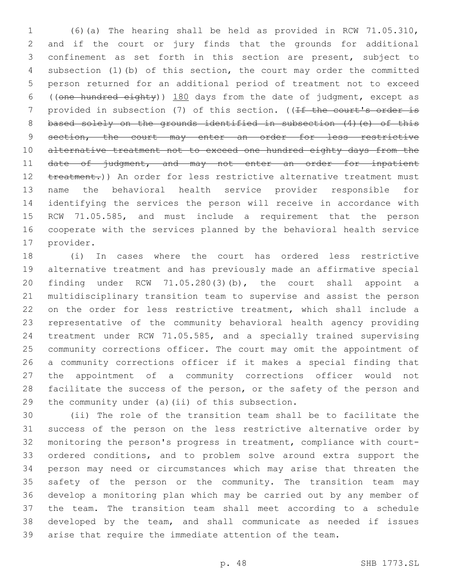(6)(a) The hearing shall be held as provided in RCW 71.05.310, and if the court or jury finds that the grounds for additional confinement as set forth in this section are present, subject to subsection (1)(b) of this section, the court may order the committed person returned for an additional period of treatment not to exceed ((one hundred eighty)) 180 days from the date of judgment, except as 7 provided in subsection (7) of this section. ((If the court's order is 8 based solely on the grounds identified in subsection (4) (e) of this 9 section, the court may enter an order for less restrictive 10 alternative treatment not to exceed one hundred eighty days from the 11 date of judgment, and may not enter an order for inpatient 12 treatment.)) An order for less restrictive alternative treatment must name the behavioral health service provider responsible for identifying the services the person will receive in accordance with RCW 71.05.585, and must include a requirement that the person cooperate with the services planned by the behavioral health service 17 provider.

 (i) In cases where the court has ordered less restrictive alternative treatment and has previously made an affirmative special finding under RCW 71.05.280(3)(b), the court shall appoint a multidisciplinary transition team to supervise and assist the person on the order for less restrictive treatment, which shall include a representative of the community behavioral health agency providing treatment under RCW 71.05.585, and a specially trained supervising community corrections officer. The court may omit the appointment of a community corrections officer if it makes a special finding that the appointment of a community corrections officer would not facilitate the success of the person, or the safety of the person and 29 the community under (a)(ii) of this subsection.

 (ii) The role of the transition team shall be to facilitate the success of the person on the less restrictive alternative order by monitoring the person's progress in treatment, compliance with court- ordered conditions, and to problem solve around extra support the person may need or circumstances which may arise that threaten the safety of the person or the community. The transition team may develop a monitoring plan which may be carried out by any member of the team. The transition team shall meet according to a schedule developed by the team, and shall communicate as needed if issues arise that require the immediate attention of the team.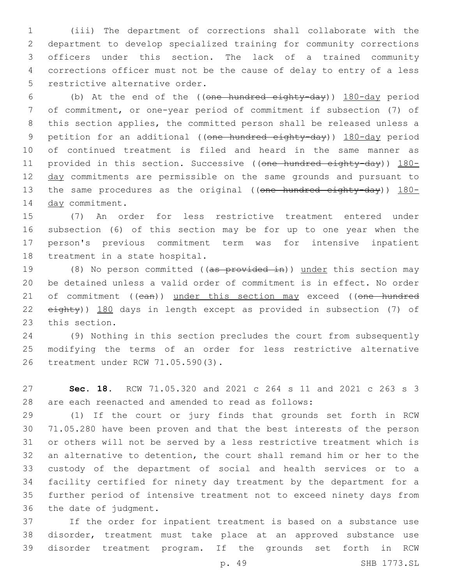(iii) The department of corrections shall collaborate with the department to develop specialized training for community corrections officers under this section. The lack of a trained community corrections officer must not be the cause of delay to entry of a less 5 restrictive alternative order.

 (b) At the end of the ((one hundred eighty-day)) 180-day period of commitment, or one-year period of commitment if subsection (7) of this section applies, the committed person shall be released unless a 9 petition for an additional ((one hundred eighty-day)) 180-day period of continued treatment is filed and heard in the same manner as 11 provided in this section. Successive ((one hundred eighty-day)) 180-12 day commitments are permissible on the same grounds and pursuant to 13 the same procedures as the original ((one hundred eighty-day)) 180-14 day commitment.

 (7) An order for less restrictive treatment entered under subsection (6) of this section may be for up to one year when the person's previous commitment term was for intensive inpatient 18 treatment in a state hospital.

19 (8) No person committed ((as provided in)) under this section may be detained unless a valid order of commitment is in effect. No order 21 of commitment ((can)) under this section may exceed ((one hundred 22 eighty)) 180 days in length except as provided in subsection (7) of 23 this section.

 (9) Nothing in this section precludes the court from subsequently modifying the terms of an order for less restrictive alternative 26 treatment under RCW 71.05.590(3).

 **Sec. 18.** RCW 71.05.320 and 2021 c 264 s 11 and 2021 c 263 s 3 are each reenacted and amended to read as follows:

 (1) If the court or jury finds that grounds set forth in RCW 71.05.280 have been proven and that the best interests of the person or others will not be served by a less restrictive treatment which is an alternative to detention, the court shall remand him or her to the custody of the department of social and health services or to a facility certified for ninety day treatment by the department for a further period of intensive treatment not to exceed ninety days from 36 the date of judgment.

 If the order for inpatient treatment is based on a substance use disorder, treatment must take place at an approved substance use disorder treatment program. If the grounds set forth in RCW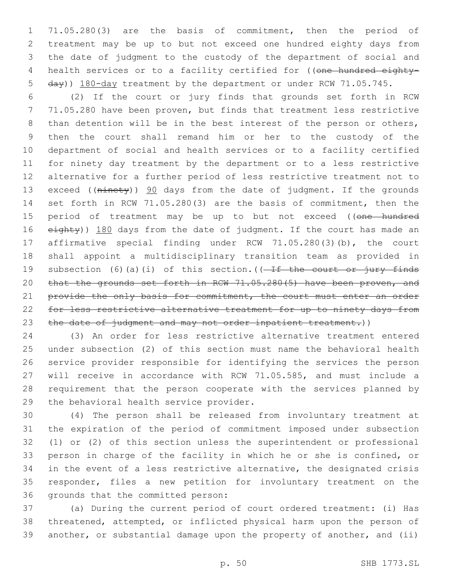71.05.280(3) are the basis of commitment, then the period of treatment may be up to but not exceed one hundred eighty days from the date of judgment to the custody of the department of social and 4 health services or to a facility certified for ((one hundred eighty-day)) 180-day treatment by the department or under RCW 71.05.745.

 (2) If the court or jury finds that grounds set forth in RCW 71.05.280 have been proven, but finds that treatment less restrictive than detention will be in the best interest of the person or others, then the court shall remand him or her to the custody of the department of social and health services or to a facility certified for ninety day treatment by the department or to a less restrictive alternative for a further period of less restrictive treatment not to 13 exceed ((ninety)) 90 days from the date of judgment. If the grounds set forth in RCW 71.05.280(3) are the basis of commitment, then the 15 period of treatment may be up to but not exceed ((one hundred 16 eighty)) 180 days from the date of judgment. If the court has made an affirmative special finding under RCW 71.05.280(3)(b), the court shall appoint a multidisciplinary transition team as provided in 19 subsection (6)(a)(i) of this section.( $(-If$  the court or jury finds that the grounds set forth in RCW 71.05.280(5) have been proven, and 21 provide the only basis for commitment, the court must enter an order 22 for less restrictive alternative treatment for up to ninety days from 23 the date of judgment and may not order inpatient treatment.))

 (3) An order for less restrictive alternative treatment entered under subsection (2) of this section must name the behavioral health service provider responsible for identifying the services the person will receive in accordance with RCW 71.05.585, and must include a requirement that the person cooperate with the services planned by 29 the behavioral health service provider.

 (4) The person shall be released from involuntary treatment at the expiration of the period of commitment imposed under subsection (1) or (2) of this section unless the superintendent or professional person in charge of the facility in which he or she is confined, or in the event of a less restrictive alternative, the designated crisis responder, files a new petition for involuntary treatment on the 36 grounds that the committed person:

 (a) During the current period of court ordered treatment: (i) Has threatened, attempted, or inflicted physical harm upon the person of another, or substantial damage upon the property of another, and (ii)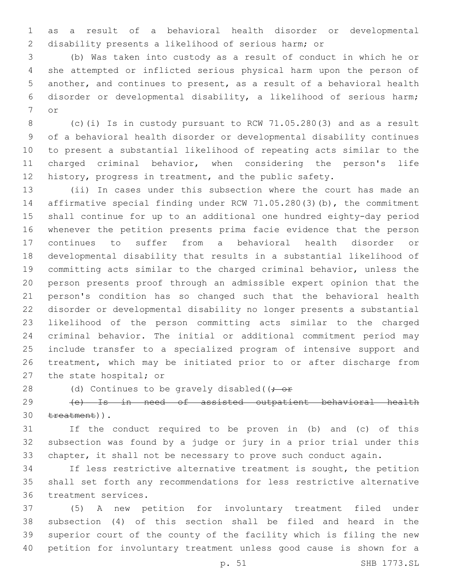as a result of a behavioral health disorder or developmental disability presents a likelihood of serious harm; or

 (b) Was taken into custody as a result of conduct in which he or she attempted or inflicted serious physical harm upon the person of another, and continues to present, as a result of a behavioral health disorder or developmental disability, a likelihood of serious harm; 7 or

 (c)(i) Is in custody pursuant to RCW 71.05.280(3) and as a result of a behavioral health disorder or developmental disability continues to present a substantial likelihood of repeating acts similar to the charged criminal behavior, when considering the person's life history, progress in treatment, and the public safety.

 (ii) In cases under this subsection where the court has made an affirmative special finding under RCW 71.05.280(3)(b), the commitment shall continue for up to an additional one hundred eighty-day period whenever the petition presents prima facie evidence that the person continues to suffer from a behavioral health disorder or developmental disability that results in a substantial likelihood of committing acts similar to the charged criminal behavior, unless the person presents proof through an admissible expert opinion that the person's condition has so changed such that the behavioral health disorder or developmental disability no longer presents a substantial likelihood of the person committing acts similar to the charged criminal behavior. The initial or additional commitment period may include transfer to a specialized program of intensive support and treatment, which may be initiated prior to or after discharge from 27 the state hospital; or

28 (d) Continues to be gravely disabled( $(-e^+e^-)$ 

 (e) Is in need of assisted outpatient behavioral health 30 treatment)).

 If the conduct required to be proven in (b) and (c) of this subsection was found by a judge or jury in a prior trial under this chapter, it shall not be necessary to prove such conduct again.

 If less restrictive alternative treatment is sought, the petition shall set forth any recommendations for less restrictive alternative 36 treatment services.

 (5) A new petition for involuntary treatment filed under subsection (4) of this section shall be filed and heard in the superior court of the county of the facility which is filing the new petition for involuntary treatment unless good cause is shown for a

p. 51 SHB 1773.SL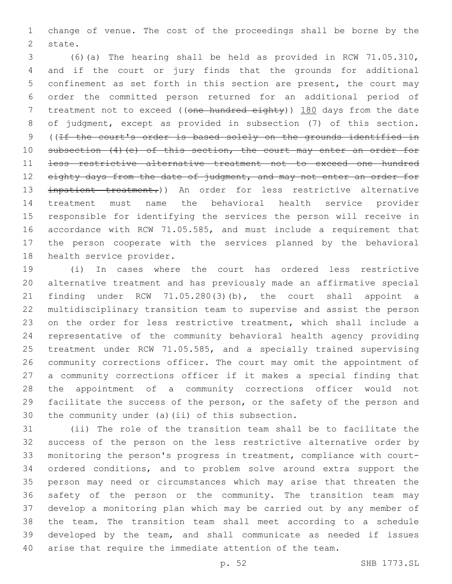change of venue. The cost of the proceedings shall be borne by the 2 state.

 (6)(a) The hearing shall be held as provided in RCW 71.05.310, and if the court or jury finds that the grounds for additional confinement as set forth in this section are present, the court may order the committed person returned for an additional period of 7 treatment not to exceed ((one hundred eighty)) 180 days from the date of judgment, except as provided in subsection (7) of this section. ((If the court's order is based solely on the grounds identified in 10 subsection (4) (e) of this section, the court may enter an order for less restrictive alternative treatment not to exceed one hundred 12 eighty days from the date of judgment, and may not enter an order for inpatient treatment.)) An order for less restrictive alternative treatment must name the behavioral health service provider responsible for identifying the services the person will receive in accordance with RCW 71.05.585, and must include a requirement that the person cooperate with the services planned by the behavioral 18 health service provider.

 (i) In cases where the court has ordered less restrictive alternative treatment and has previously made an affirmative special finding under RCW 71.05.280(3)(b), the court shall appoint a multidisciplinary transition team to supervise and assist the person on the order for less restrictive treatment, which shall include a representative of the community behavioral health agency providing treatment under RCW 71.05.585, and a specially trained supervising community corrections officer. The court may omit the appointment of a community corrections officer if it makes a special finding that the appointment of a community corrections officer would not facilitate the success of the person, or the safety of the person and 30 the community under (a)(ii) of this subsection.

 (ii) The role of the transition team shall be to facilitate the success of the person on the less restrictive alternative order by monitoring the person's progress in treatment, compliance with court- ordered conditions, and to problem solve around extra support the person may need or circumstances which may arise that threaten the safety of the person or the community. The transition team may develop a monitoring plan which may be carried out by any member of the team. The transition team shall meet according to a schedule developed by the team, and shall communicate as needed if issues arise that require the immediate attention of the team.

p. 52 SHB 1773.SL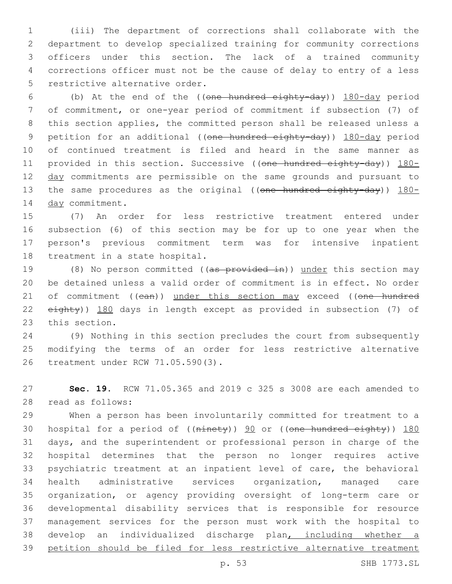(iii) The department of corrections shall collaborate with the department to develop specialized training for community corrections officers under this section. The lack of a trained community corrections officer must not be the cause of delay to entry of a less 5 restrictive alternative order.

 (b) At the end of the ((one hundred eighty-day)) 180-day period of commitment, or one-year period of commitment if subsection (7) of this section applies, the committed person shall be released unless a 9 petition for an additional ((one hundred eighty-day)) 180-day period of continued treatment is filed and heard in the same manner as 11 provided in this section. Successive ((one hundred eighty-day)) 180-12 day commitments are permissible on the same grounds and pursuant to 13 the same procedures as the original ((one hundred eighty-day)) 180-14 day commitment.

 (7) An order for less restrictive treatment entered under subsection (6) of this section may be for up to one year when the person's previous commitment term was for intensive inpatient 18 treatment in a state hospital.

19 (8) No person committed ((as provided in)) under this section may be detained unless a valid order of commitment is in effect. No order 21 of commitment ((can)) under this section may exceed ((one hundred eighty)) 180 days in length except as provided in subsection (7) of 23 this section.

 (9) Nothing in this section precludes the court from subsequently modifying the terms of an order for less restrictive alternative 26 treatment under RCW 71.05.590(3).

 **Sec. 19.** RCW 71.05.365 and 2019 c 325 s 3008 are each amended to read as follows:28

 When a person has been involuntarily committed for treatment to a 30 hospital for a period of ((ninety)) 90 or ((one hundred eighty)) 180 days, and the superintendent or professional person in charge of the hospital determines that the person no longer requires active psychiatric treatment at an inpatient level of care, the behavioral health administrative services organization, managed care organization, or agency providing oversight of long-term care or developmental disability services that is responsible for resource management services for the person must work with the hospital to develop an individualized discharge plan, including whether a petition should be filed for less restrictive alternative treatment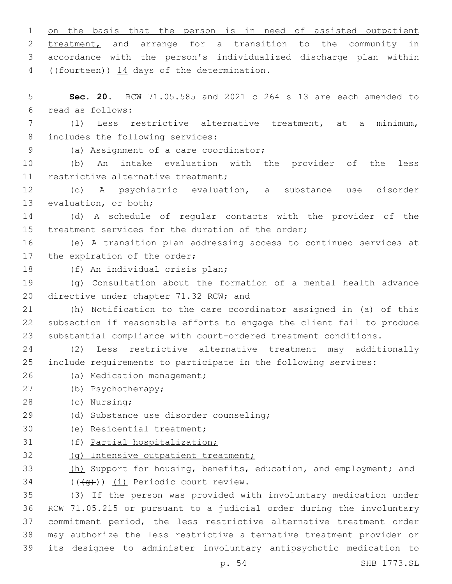1 on the basis that the person is in need of assisted outpatient 2 treatment, and arrange for a transition to the community in 3 accordance with the person's individualized discharge plan within 4 ((fourteen)) 14 days of the determination. 5 **Sec. 20.** RCW 71.05.585 and 2021 c 264 s 13 are each amended to read as follows:6 7 (1) Less restrictive alternative treatment, at a minimum, 8 includes the following services: (a) Assignment of a care coordinator;9 10 (b) An intake evaluation with the provider of the less 11 restrictive alternative treatment; 12 (c) A psychiatric evaluation, a substance use disorder 13 evaluation, or both; 14 (d) A schedule of regular contacts with the provider of the 15 treatment services for the duration of the order;

16 (e) A transition plan addressing access to continued services at 17 the expiration of the order;

18 (f) An individual crisis plan;

19 (g) Consultation about the formation of a mental health advance 20 directive under chapter 71.32 RCW; and

21 (h) Notification to the care coordinator assigned in (a) of this 22 subsection if reasonable efforts to engage the client fail to produce 23 substantial compliance with court-ordered treatment conditions.

24 (2) Less restrictive alternative treatment may additionally 25 include requirements to participate in the following services:

- 26 (a) Medication management;
- (b) Psychotherapy;27
- (c) Nursing;28
- (d) Substance use disorder counseling;29
- 30 (e) Residential treatment;
- 31 (f) Partial hospitalization;
- 32 (g) Intensive outpatient treatment;

33 (h) Support for housing, benefits, education, and employment; and  $($   $((\neg \rightarrow))$   $(i)$  Periodic court review.

 (3) If the person was provided with involuntary medication under RCW 71.05.215 or pursuant to a judicial order during the involuntary commitment period, the less restrictive alternative treatment order may authorize the less restrictive alternative treatment provider or its designee to administer involuntary antipsychotic medication to

p. 54 SHB 1773.SL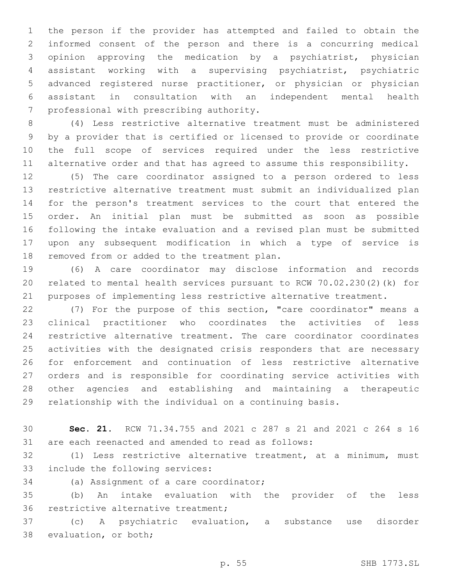the person if the provider has attempted and failed to obtain the informed consent of the person and there is a concurring medical opinion approving the medication by a psychiatrist, physician assistant working with a supervising psychiatrist, psychiatric advanced registered nurse practitioner, or physician or physician assistant in consultation with an independent mental health 7 professional with prescribing authority.

 (4) Less restrictive alternative treatment must be administered by a provider that is certified or licensed to provide or coordinate the full scope of services required under the less restrictive alternative order and that has agreed to assume this responsibility.

 (5) The care coordinator assigned to a person ordered to less restrictive alternative treatment must submit an individualized plan for the person's treatment services to the court that entered the order. An initial plan must be submitted as soon as possible following the intake evaluation and a revised plan must be submitted upon any subsequent modification in which a type of service is 18 removed from or added to the treatment plan.

 (6) A care coordinator may disclose information and records related to mental health services pursuant to RCW 70.02.230(2)(k) for purposes of implementing less restrictive alternative treatment.

 (7) For the purpose of this section, "care coordinator" means a clinical practitioner who coordinates the activities of less restrictive alternative treatment. The care coordinator coordinates activities with the designated crisis responders that are necessary for enforcement and continuation of less restrictive alternative orders and is responsible for coordinating service activities with other agencies and establishing and maintaining a therapeutic relationship with the individual on a continuing basis.

 **Sec. 21.** RCW 71.34.755 and 2021 c 287 s 21 and 2021 c 264 s 16 are each reenacted and amended to read as follows:

 (1) Less restrictive alternative treatment, at a minimum, must 33 include the following services:

34 (a) Assignment of a care coordinator;

 (b) An intake evaluation with the provider of the less 36 restrictive alternative treatment;

 (c) A psychiatric evaluation, a substance use disorder 38 evaluation, or both;

p. 55 SHB 1773.SL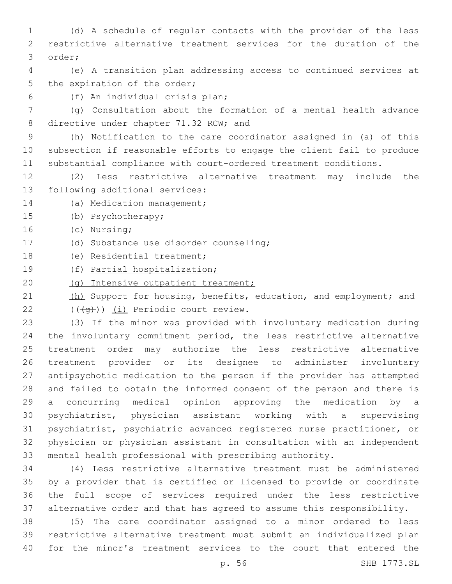(d) A schedule of regular contacts with the provider of the less restrictive alternative treatment services for the duration of the 3 order;

 (e) A transition plan addressing access to continued services at 5 the expiration of the order;

(f) An individual crisis plan;6

 (g) Consultation about the formation of a mental health advance 8 directive under chapter 71.32 RCW; and

 (h) Notification to the care coordinator assigned in (a) of this subsection if reasonable efforts to engage the client fail to produce substantial compliance with court-ordered treatment conditions.

 (2) Less restrictive alternative treatment may include the 13 following additional services:

14 (a) Medication management;

15 (b) Psychotherapy;

16 (c) Nursing;

(d) Substance use disorder counseling;17

18 (e) Residential treatment;

(f) Partial hospitalization;

20 (g) Intensive outpatient treatment;

21 (h) Support for housing, benefits, education, and employment; and  $(4a)$ ) (i) Periodic court review.

 (3) If the minor was provided with involuntary medication during the involuntary commitment period, the less restrictive alternative treatment order may authorize the less restrictive alternative treatment provider or its designee to administer involuntary antipsychotic medication to the person if the provider has attempted and failed to obtain the informed consent of the person and there is a concurring medical opinion approving the medication by a psychiatrist, physician assistant working with a supervising psychiatrist, psychiatric advanced registered nurse practitioner, or physician or physician assistant in consultation with an independent mental health professional with prescribing authority.

 (4) Less restrictive alternative treatment must be administered by a provider that is certified or licensed to provide or coordinate the full scope of services required under the less restrictive alternative order and that has agreed to assume this responsibility.

 (5) The care coordinator assigned to a minor ordered to less restrictive alternative treatment must submit an individualized plan for the minor's treatment services to the court that entered the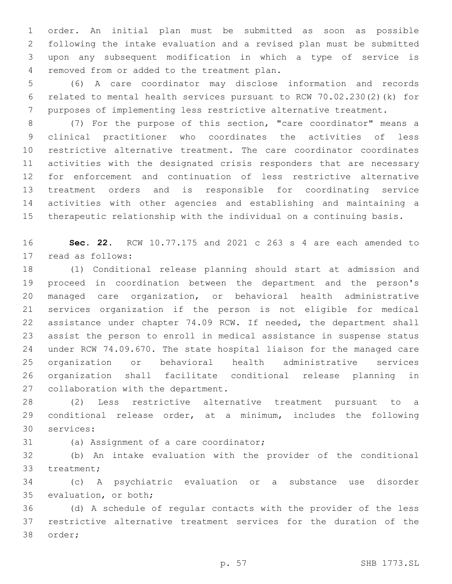order. An initial plan must be submitted as soon as possible following the intake evaluation and a revised plan must be submitted upon any subsequent modification in which a type of service is removed from or added to the treatment plan.4

 (6) A care coordinator may disclose information and records related to mental health services pursuant to RCW 70.02.230(2)(k) for purposes of implementing less restrictive alternative treatment.

 (7) For the purpose of this section, "care coordinator" means a clinical practitioner who coordinates the activities of less restrictive alternative treatment. The care coordinator coordinates activities with the designated crisis responders that are necessary for enforcement and continuation of less restrictive alternative treatment orders and is responsible for coordinating service activities with other agencies and establishing and maintaining a therapeutic relationship with the individual on a continuing basis.

 **Sec. 22.** RCW 10.77.175 and 2021 c 263 s 4 are each amended to 17 read as follows:

 (1) Conditional release planning should start at admission and proceed in coordination between the department and the person's managed care organization, or behavioral health administrative services organization if the person is not eligible for medical assistance under chapter 74.09 RCW. If needed, the department shall assist the person to enroll in medical assistance in suspense status under RCW 74.09.670. The state hospital liaison for the managed care organization or behavioral health administrative services organization shall facilitate conditional release planning in 27 collaboration with the department.

 (2) Less restrictive alternative treatment pursuant to a conditional release order, at a minimum, includes the following 30 services:

31 (a) Assignment of a care coordinator;

 (b) An intake evaluation with the provider of the conditional 33 treatment;

 (c) A psychiatric evaluation or a substance use disorder 35 evaluation, or both;

 (d) A schedule of regular contacts with the provider of the less restrictive alternative treatment services for the duration of the 38 order;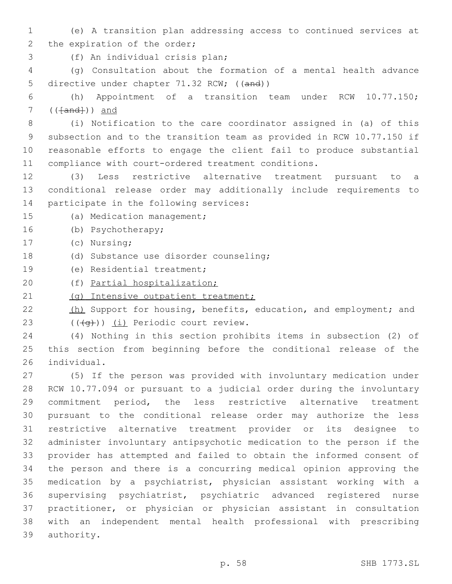- (e) A transition plan addressing access to continued services at 2 the expiration of the order;
- (f) An individual crisis plan;3

 (g) Consultation about the formation of a mental health advance 5 directive under chapter 71.32 RCW; ((and))

 (h) Appointment of a transition team under RCW 10.77.150; ( $(Hand+)$ ) and

 (i) Notification to the care coordinator assigned in (a) of this subsection and to the transition team as provided in RCW 10.77.150 if reasonable efforts to engage the client fail to produce substantial compliance with court-ordered treatment conditions.

- (3) Less restrictive alternative treatment pursuant to a conditional release order may additionally include requirements to 14 participate in the following services:
- 15 (a) Medication management;
- 16 (b) Psychotherapy;
- 17 (c) Nursing;
- (d) Substance use disorder counseling;18
- 19 (e) Residential treatment;
- (f) Partial hospitalization;

21 (g) Intensive outpatient treatment;

- 22 (h) Support for housing, benefits, education, and employment; and  $(4a)$ ) (i) Periodic court review.
- (4) Nothing in this section prohibits items in subsection (2) of this section from beginning before the conditional release of the 26 individual.

 (5) If the person was provided with involuntary medication under RCW 10.77.094 or pursuant to a judicial order during the involuntary commitment period, the less restrictive alternative treatment pursuant to the conditional release order may authorize the less restrictive alternative treatment provider or its designee to administer involuntary antipsychotic medication to the person if the provider has attempted and failed to obtain the informed consent of the person and there is a concurring medical opinion approving the medication by a psychiatrist, physician assistant working with a supervising psychiatrist, psychiatric advanced registered nurse practitioner, or physician or physician assistant in consultation with an independent mental health professional with prescribing 39 authority.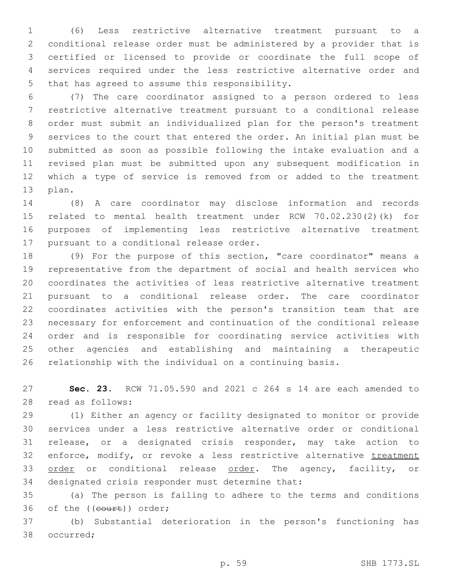(6) Less restrictive alternative treatment pursuant to a conditional release order must be administered by a provider that is certified or licensed to provide or coordinate the full scope of services required under the less restrictive alternative order and 5 that has agreed to assume this responsibility.

 (7) The care coordinator assigned to a person ordered to less restrictive alternative treatment pursuant to a conditional release order must submit an individualized plan for the person's treatment services to the court that entered the order. An initial plan must be submitted as soon as possible following the intake evaluation and a revised plan must be submitted upon any subsequent modification in which a type of service is removed from or added to the treatment 13 plan.

 (8) A care coordinator may disclose information and records related to mental health treatment under RCW 70.02.230(2)(k) for purposes of implementing less restrictive alternative treatment 17 pursuant to a conditional release order.

 (9) For the purpose of this section, "care coordinator" means a representative from the department of social and health services who coordinates the activities of less restrictive alternative treatment pursuant to a conditional release order. The care coordinator coordinates activities with the person's transition team that are necessary for enforcement and continuation of the conditional release order and is responsible for coordinating service activities with other agencies and establishing and maintaining a therapeutic relationship with the individual on a continuing basis.

 **Sec. 23.** RCW 71.05.590 and 2021 c 264 s 14 are each amended to read as follows:28

 (1) Either an agency or facility designated to monitor or provide services under a less restrictive alternative order or conditional release, or a designated crisis responder, may take action to 32 enforce, modify, or revoke a less restrictive alternative treatment 33 order or conditional release order. The agency, facility, or 34 designated crisis responder must determine that:

 (a) The person is failing to adhere to the terms and conditions 36 of the ((court)) order;

 (b) Substantial deterioration in the person's functioning has 38 occurred;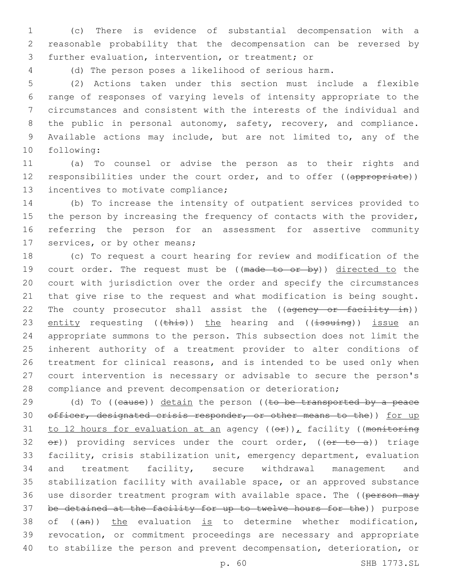1 (c) There is evidence of substantial decompensation with a 2 reasonable probability that the decompensation can be reversed by 3 further evaluation, intervention, or treatment; or

4 (d) The person poses a likelihood of serious harm.

 (2) Actions taken under this section must include a flexible range of responses of varying levels of intensity appropriate to the circumstances and consistent with the interests of the individual and 8 the public in personal autonomy, safety, recovery, and compliance. Available actions may include, but are not limited to, any of the 10 following:

11 (a) To counsel or advise the person as to their rights and 12 responsibilities under the court order, and to offer ((appropriate)) 13 incentives to motivate compliance;

14 (b) To increase the intensity of outpatient services provided to 15 the person by increasing the frequency of contacts with the provider, 16 referring the person for an assessment for assertive community 17 services, or by other means;

 (c) To request a court hearing for review and modification of the 19 court order. The request must be ((made to or by)) directed to the court with jurisdiction over the order and specify the circumstances that give rise to the request and what modification is being sought. 22 The county prosecutor shall assist the ((ageney or facility in)) 23 entity requesting (( $\frac{1}{2}$ ) the hearing and (( $\frac{1}{3}$ suing)) issue an appropriate summons to the person. This subsection does not limit the inherent authority of a treatment provider to alter conditions of treatment for clinical reasons, and is intended to be used only when court intervention is necessary or advisable to secure the person's compliance and prevent decompensation or deterioration;

 $(d)$  To ((eause)) detain the person ((to be transported by a peace 30 officer, designated crisis responder, or other means to the)) for up 31 to 12 hours for evaluation at an agency  $((\theta \cdot \hat{r}))_L$  facility ((monitoring  $e^{\pm}$ ) providing services under the court order, (( $e^{\pm}$  to a)) triage facility, crisis stabilization unit, emergency department, evaluation and treatment facility, secure withdrawal management and stabilization facility with available space, or an approved substance 36 use disorder treatment program with available space. The ((person may be detained at the facility for up to twelve hours for the)) purpose 38 of  $((an))$  the evaluation is to determine whether modification, revocation, or commitment proceedings are necessary and appropriate to stabilize the person and prevent decompensation, deterioration, or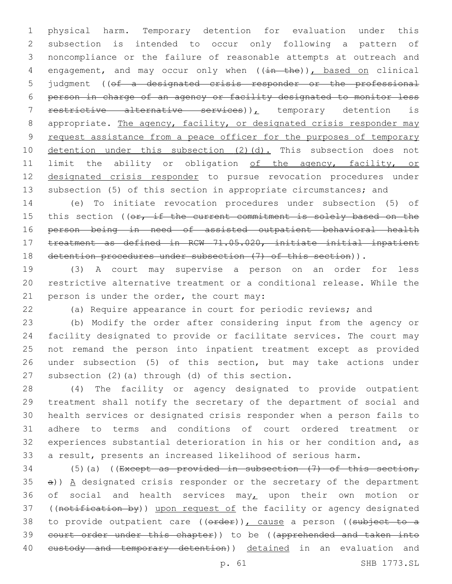physical harm. Temporary detention for evaluation under this subsection is intended to occur only following a pattern of noncompliance or the failure of reasonable attempts at outreach and 4 engagement, and may occur only when ((in the)), based on clinical judgment ((of a designated crisis responder or the professional person in charge of an agency or facility designated to monitor less 7 restrictive alternative services)), temporary detention is 8 appropriate. The agency, facility, or designated crisis responder may 9 request assistance from a peace officer for the purposes of temporary 10 detention under this subsection (2)(d). This subsection does not 11 limit the ability or obligation of the agency, facility, or designated crisis responder to pursue revocation procedures under subsection (5) of this section in appropriate circumstances; and

 (e) To initiate revocation procedures under subsection (5) of 15 this section ((or, if the current commitment is solely based on the person being in need of assisted outpatient behavioral health treatment as defined in RCW 71.05.020, initiate initial inpatient detention procedures under subsection (7) of this section)).

 (3) A court may supervise a person on an order for less restrictive alternative treatment or a conditional release. While the 21 person is under the order, the court may:

(a) Require appearance in court for periodic reviews; and

 (b) Modify the order after considering input from the agency or facility designated to provide or facilitate services. The court may not remand the person into inpatient treatment except as provided under subsection (5) of this section, but may take actions under 27 subsection  $(2)$  (a) through  $(d)$  of this section.

 (4) The facility or agency designated to provide outpatient treatment shall notify the secretary of the department of social and health services or designated crisis responder when a person fails to adhere to terms and conditions of court ordered treatment or experiences substantial deterioration in his or her condition and, as a result, presents an increased likelihood of serious harm.

34 (5)(a) ((Except as provided in subsection  $(7)$  of this section, a))  $A$  designated crisis responder or the secretary of the department 36 of social and health services may, upon their own motion or 37 ((notification by)) upon request of the facility or agency designated 38 to provide outpatient care ((order)), cause a person ((subject to a court order under this chapter)) to be ((apprehended and taken into 40 eustody and temporary detention)) detained in an evaluation and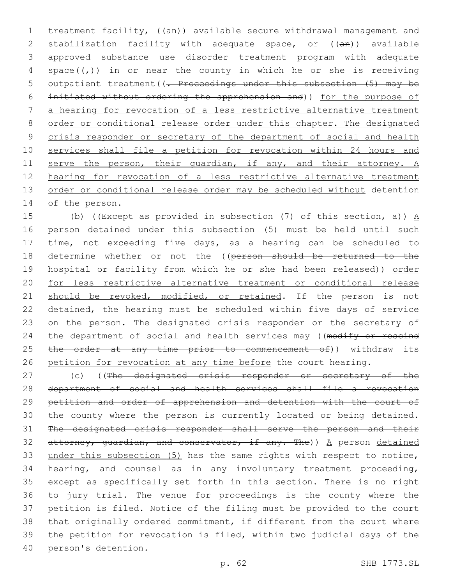1 treatment facility, ((an)) available secure withdrawal management and 2 stabilization facility with adequate space, or ((an)) available 3 approved substance use disorder treatment program with adequate 4 space( $(\tau)$ ) in or near the county in which he or she is receiving 5 outpatient treatment ((. Proceedings under this subsection (5) may be 6 initiated without ordering the apprehension and)) for the purpose of 7 a hearing for revocation of a less restrictive alternative treatment 8 order or conditional release order under this chapter. The designated 9 crisis responder or secretary of the department of social and health 10 services shall file a petition for revocation within 24 hours and 11 serve the person, their quardian, if any, and their attorney. A 12 hearing for revocation of a less restrictive alternative treatment 13 order or conditional release order may be scheduled without detention 14 of the person.

15 (b) ((Except as provided in subsection  $(7)$  of this section, a))  $\underline{A}$ 16 person detained under this subsection (5) must be held until such 17 time, not exceeding five days, as a hearing can be scheduled to 18 determine whether or not the ((person should be returned to the 19 hospital or facility from which he or she had been released)) order 20 for less restrictive alternative treatment or conditional release 21 should be revoked, modified, or retained. If the person is not 22 detained, the hearing must be scheduled within five days of service 23 on the person. The designated crisis responder or the secretary of 24 the department of social and health services may ((modify or rescind 25 the order at any time prior to commencement of)) withdraw its 26 petition for revocation at any time before the court hearing.

27 (c) ((The designated crisis responder or secretary of the department of social and health services shall file a revocation petition and order of apprehension and detention with the court of 30 the county where the person is currently located or being detained. The designated crisis responder shall serve the person and their 32 attorney, quardian, and conservator, if any. The))  $A$  person detained under this subsection (5) has the same rights with respect to notice, hearing, and counsel as in any involuntary treatment proceeding, except as specifically set forth in this section. There is no right to jury trial. The venue for proceedings is the county where the petition is filed. Notice of the filing must be provided to the court that originally ordered commitment, if different from the court where the petition for revocation is filed, within two judicial days of the 40 person's detention.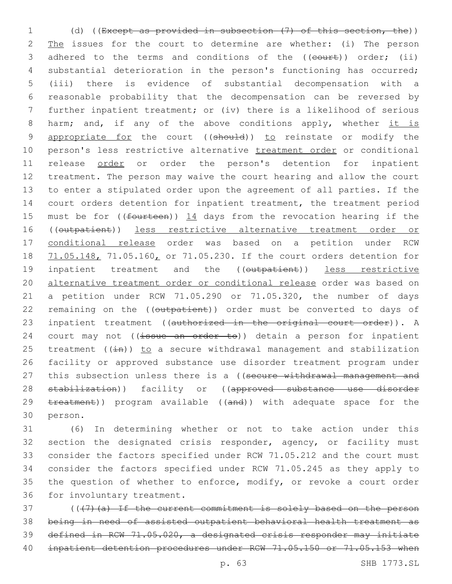1 (d) ((Except as provided in subsection (7) of this section, the)) 2 The issues for the court to determine are whether: (i) The person 3 adhered to the terms and conditions of the ((court)) order; (ii) 4 substantial deterioration in the person's functioning has occurred; 5 (iii) there is evidence of substantial decompensation with a 6 reasonable probability that the decompensation can be reversed by 7 further inpatient treatment; or (iv) there is a likelihood of serious 8 harm; and, if any of the above conditions apply, whether it is 9 appropriate for the court ((should)) to reinstate or modify the 10 person's less restrictive alternative treatment order or conditional 11 release order or order the person's detention for inpatient 12 treatment. The person may waive the court hearing and allow the court 13 to enter a stipulated order upon the agreement of all parties. If the 14 court orders detention for inpatient treatment, the treatment period 15 must be for ((fourteen)) 14 days from the revocation hearing if the 16 ((outpatient)) less restrictive alternative treatment order or 17 conditional release order was based on a petition under RCW 18 71.05.148, 71.05.160, or 71.05.230. If the court orders detention for 19 inpatient treatment and the ((outpatient)) less restrictive 20 alternative treatment order or conditional release order was based on 21 a petition under RCW 71.05.290 or 71.05.320, the number of days 22 remaining on the ((outpatient)) order must be converted to days of 23 inpatient treatment ((authorized in the original court order)). A 24 court may not  $((\frac{1}{15} + \frac{1}{15})$  detain a person for inpatient 25 treatment ( $(i+n)$ ) to a secure withdrawal management and stabilization 26 facility or approved substance use disorder treatment program under 27 this subsection unless there is a ((secure withdrawal management and 28 stabilization)) facility or ((approved substance use disorder 29 treatment)) program available ((and)) with adequate space for the 30 person.

31 (6) In determining whether or not to take action under this 32 section the designated crisis responder, agency, or facility must 33 consider the factors specified under RCW 71.05.212 and the court must 34 consider the factors specified under RCW 71.05.245 as they apply to 35 the question of whether to enforce, modify, or revoke a court order 36 for involuntary treatment.

37 (((7)(a) If the current commitment is solely based on the person 38 being in need of assisted outpatient behavioral health treatment as 39 defined in RCW 71.05.020, a designated crisis responder may initiate 40 inpatient detention procedures under RCW 71.05.150 or 71.05.153 when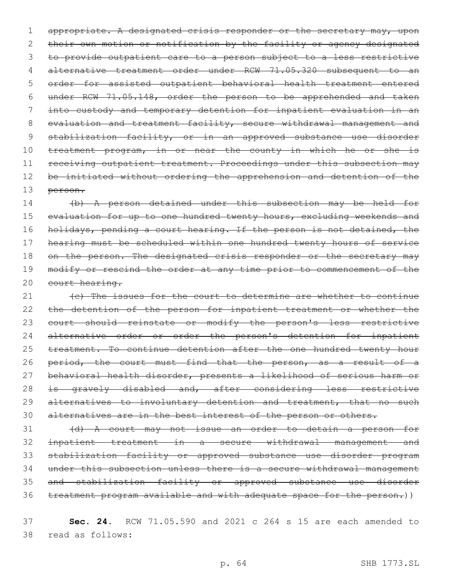1 appropriate. A designated crisis responder or the secretary may, upon 2 their own motion or notification by the facility or agency designated 3 to provide outpatient care to a person subject to a less restrictive 4 alternative treatment order under RCW 71.05.320 subsequent to an 5 order for assisted outpatient behavioral health treatment entered 6 under RCW 71.05.148, order the person to be apprehended and taken 7 into custody and temporary detention for inpatient evaluation in an 8 evaluation and treatment facility, secure withdrawal management and 9 stabilization facility, or in an approved substance use disorder 10 treatment program, in or near the county in which he or she is 11 receiving outpatient treatment. Proceedings under this subsection may 12 be initiated without ordering the apprehension and detention of the 13 person.

14 (b) A person detained under this subsection may be held for 15 evaluation for up to one hundred twenty hours, excluding weekends and 16 holidays, pending a court hearing. If the person is not detained, the 17 hearing must be scheduled within one hundred twenty hours of service 18 on the person. The designated crisis responder or the secretary may 19 modify or rescind the order at any time prior to commencement of the 20 court hearing.

21 (e) The issues for the court to determine are whether to continue 22 the detention of the person for inpatient treatment or whether the 23 court should reinstate or modify the person's less restrictive 24 alternative order or order the person's detention for inpatient 25 treatment. To continue detention after the one hundred twenty hour 26 period, the court must find that the person, as a result of a 27 behavioral health disorder, presents a likelihood of serious harm or 28 is gravely disabled and, after considering less restrictive 29 alternatives to involuntary detention and treatment, that no such 30 alternatives are in the best interest of the person or others.

 (d) A court may not issue an order to detain a person for inpatient treatment in a secure withdrawal management and stabilization facility or approved substance use disorder program under this subsection unless there is a secure withdrawal management and stabilization facility or approved substance use disorder treatment program available and with adequate space for the person.))

37 **Sec. 24.** RCW 71.05.590 and 2021 c 264 s 15 are each amended to read as follows:38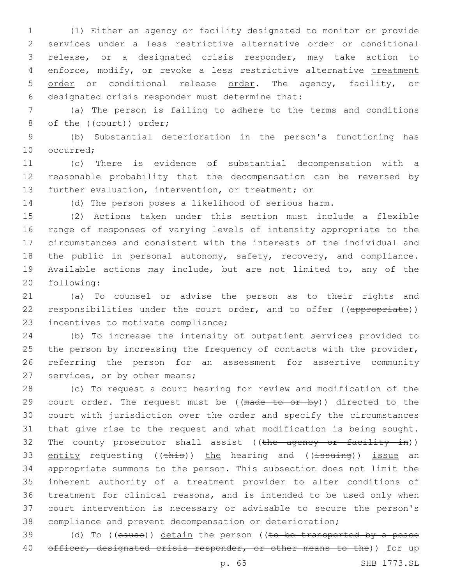(1) Either an agency or facility designated to monitor or provide services under a less restrictive alternative order or conditional release, or a designated crisis responder, may take action to 4 enforce, modify, or revoke a less restrictive alternative treatment 5 order or conditional release order. The agency, facility, or 6 designated crisis responder must determine that:

 (a) The person is failing to adhere to the terms and conditions 8 of the ((court)) order;

 (b) Substantial deterioration in the person's functioning has 10 occurred:

 (c) There is evidence of substantial decompensation with a reasonable probability that the decompensation can be reversed by further evaluation, intervention, or treatment; or

(d) The person poses a likelihood of serious harm.

 (2) Actions taken under this section must include a flexible range of responses of varying levels of intensity appropriate to the circumstances and consistent with the interests of the individual and the public in personal autonomy, safety, recovery, and compliance. Available actions may include, but are not limited to, any of the 20 following:

 (a) To counsel or advise the person as to their rights and 22 responsibilities under the court order, and to offer ((appropriate)) 23 incentives to motivate compliance;

 (b) To increase the intensity of outpatient services provided to 25 the person by increasing the frequency of contacts with the provider, referring the person for an assessment for assertive community 27 services, or by other means;

 (c) To request a court hearing for review and modification of the 29 court order. The request must be ((made to or by)) directed to the court with jurisdiction over the order and specify the circumstances that give rise to the request and what modification is being sought. 32 The county prosecutor shall assist ((the agency or facility in)) 33 entity requesting ((this)) the hearing and ((issuing)) issue an appropriate summons to the person. This subsection does not limit the inherent authority of a treatment provider to alter conditions of treatment for clinical reasons, and is intended to be used only when court intervention is necessary or advisable to secure the person's compliance and prevent decompensation or deterioration;

39 (d) To ((cause)) detain the person ((to be transported by a peace 40 officer, designated crisis responder, or other means to the)) for up

p. 65 SHB 1773.SL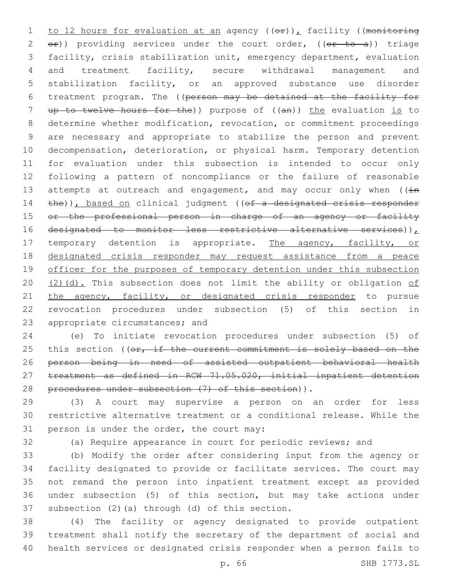1 to 12 hours for evaluation at an agency  $((e f) )$ , facility ((monitoring 2  $e$ )) providing services under the court order, ( $(e<sup>r</sup>$  to a)) triage 3 facility, crisis stabilization unit, emergency department, evaluation 4 and treatment facility, secure withdrawal management and 5 stabilization facility, or an approved substance use disorder 6 treatment program. The ((person may be detained at the facility for 7 up to twelve hours for the)) purpose of ((an)) the evaluation is to 8 determine whether modification, revocation, or commitment proceedings 9 are necessary and appropriate to stabilize the person and prevent 10 decompensation, deterioration, or physical harm. Temporary detention 11 for evaluation under this subsection is intended to occur only 12 following a pattern of noncompliance or the failure of reasonable 13 attempts at outreach and engagement, and may occur only when  $((\pm n)^2)^2$ 14 the)), based on clinical judgment ((of a designated crisis responder 15 or the professional person in charge of an agency or facility 16 designated to monitor less restrictive alternative services)), 17 temporary detention is appropriate. The agency, facility, or 18 designated crisis responder may request assistance from a peace 19 officer for the purposes of temporary detention under this subsection 20  $(2)(d)$ . This subsection does not limit the ability or obligation of 21 the agency, facility, or designated crisis responder to pursue 22 revocation procedures under subsection (5) of this section in 23 appropriate circumstances; and

24 (e) To initiate revocation procedures under subsection (5) of 25 this section ((or, if the current commitment is solely based on the 26 person being in need of assisted outpatient behavioral health 27 treatment as defined in RCW 71.05.020, initial inpatient detention 28 procedures under subsection (7) of this section)).

29 (3) A court may supervise a person on an order for less 30 restrictive alternative treatment or a conditional release. While the 31 person is under the order, the court may:

32 (a) Require appearance in court for periodic reviews; and

 (b) Modify the order after considering input from the agency or facility designated to provide or facilitate services. The court may not remand the person into inpatient treatment except as provided under subsection (5) of this section, but may take actions under 37 subsection  $(2)$  (a) through  $(d)$  of this section.

38 (4) The facility or agency designated to provide outpatient 39 treatment shall notify the secretary of the department of social and 40 health services or designated crisis responder when a person fails to

p. 66 SHB 1773.SL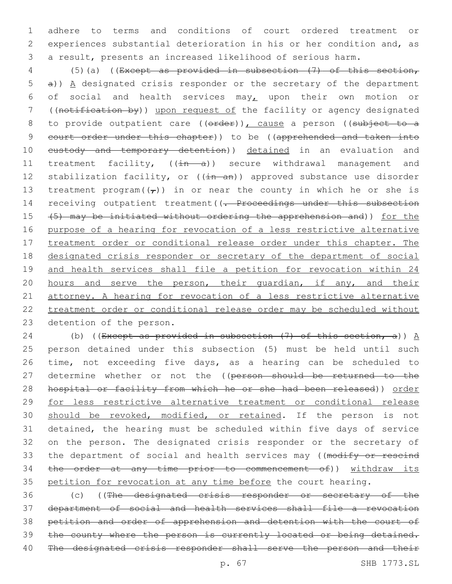adhere to terms and conditions of court ordered treatment or experiences substantial deterioration in his or her condition and, as a result, presents an increased likelihood of serious harm.

 (5)(a) ((Except as provided in subsection (7) of this section, a)) A designated crisis responder or the secretary of the department 6 of social and health services may<sub> $L$ </sub> upon their own motion or ((notification by)) upon request of the facility or agency designated 8 to provide outpatient care ((erder)), cause a person ((subject to a court order under this chapter)) to be ((apprehended and taken into 10 eustody and temporary detention)) detained in an evaluation and 11 treatment facility, ((in a)) secure withdrawal management and 12 stabilization facility, or ((in an)) approved substance use disorder 13 treatment program $((\tau))$  in or near the county in which he or she is 14 receiving outpatient treatment ((- Proceedings under this subsection (5) may be initiated without ordering the apprehension and)) for the purpose of a hearing for revocation of a less restrictive alternative 17 treatment order or conditional release order under this chapter. The designated crisis responder or secretary of the department of social and health services shall file a petition for revocation within 24 20 hours and serve the person, their guardian, if any, and their attorney. A hearing for revocation of a less restrictive alternative treatment order or conditional release order may be scheduled without 23 detention of the person.

24 (b) ((Except as provided in subsection  $(7)$  of this section, a))  $\underline{A}$  person detained under this subsection (5) must be held until such time, not exceeding five days, as a hearing can be scheduled to 27 determine whether or not the ((person should be returned to the hospital or facility from which he or she had been released)) order for less restrictive alternative treatment or conditional release 30 should be revoked, modified, or retained. If the person is not detained, the hearing must be scheduled within five days of service on the person. The designated crisis responder or the secretary of 33 the department of social and health services may ((modify or rescind the order at any time prior to commencement of)) withdraw its petition for revocation at any time before the court hearing.

 (c) ((The designated crisis responder or secretary of the department of social and health services shall file a revocation petition and order of apprehension and detention with the court of 39 the county where the person is currently located or being detained. The designated crisis responder shall serve the person and their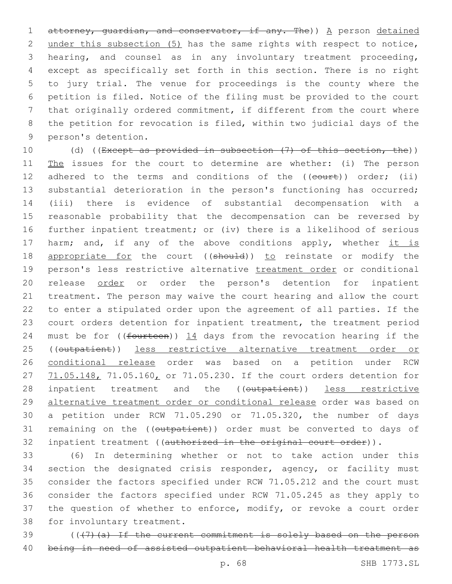1 attorney, quardian, and conservator, if any. The)) A person detained under this subsection (5) has the same rights with respect to notice, hearing, and counsel as in any involuntary treatment proceeding, except as specifically set forth in this section. There is no right to jury trial. The venue for proceedings is the county where the petition is filed. Notice of the filing must be provided to the court that originally ordered commitment, if different from the court where the petition for revocation is filed, within two judicial days of the 9 person's detention.

10 (d) ((Except as provided in subsection (7) of this section, the)) 11 The issues for the court to determine are whether: (i) The person 12 adhered to the terms and conditions of the ((court)) order; (ii) 13 substantial deterioration in the person's functioning has occurred; 14 (iii) there is evidence of substantial decompensation with a 15 reasonable probability that the decompensation can be reversed by 16 further inpatient treatment; or (iv) there is a likelihood of serious 17 harm; and, if any of the above conditions apply, whether it is 18 appropriate for the court ((should)) to reinstate or modify the 19 person's less restrictive alternative treatment order or conditional 20 release order or order the person's detention for inpatient 21 treatment. The person may waive the court hearing and allow the court 22 to enter a stipulated order upon the agreement of all parties. If the 23 court orders detention for inpatient treatment, the treatment period 24 must be for (( $f$ ourteen))  $14$  days from the revocation hearing if the 25 ((outpatient)) less restrictive alternative treatment order or 26 conditional release order was based on a petition under RCW 27 71.05.148, 71.05.160, or 71.05.230. If the court orders detention for 28 inpatient treatment and the ((outpatient)) less restrictive 29 alternative treatment order or conditional release order was based on 30 a petition under RCW 71.05.290 or 71.05.320, the number of days 31 remaining on the ((outpatient)) order must be converted to days of 32 inpatient treatment ((authorized in the original court order)).

33 (6) In determining whether or not to take action under this 34 section the designated crisis responder, agency, or facility must 35 consider the factors specified under RCW 71.05.212 and the court must 36 consider the factors specified under RCW 71.05.245 as they apply to 37 the question of whether to enforce, modify, or revoke a court order 38 for involuntary treatment.

39 (((7)(a) If the current commitment is solely based on the person 40 being in need of assisted outpatient behavioral health treatment as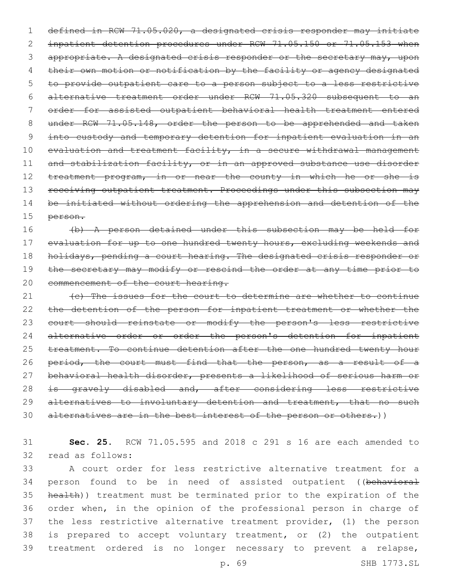1 defined in RCW 71.05.020, a designated crisis responder may initiate 2 inpatient detention procedures under RCW 71.05.150 or 71.05.153 when 3 appropriate. A designated crisis responder or the secretary may, upon 4 their own motion or notification by the facility or agency designated 5 to provide outpatient care to a person subject to a less restrictive 6 alternative treatment order under RCW 71.05.320 subsequent to an 7 order for assisted outpatient behavioral health treatment entered 8 under RCW 71.05.148, order the person to be apprehended and taken 9 into custody and temporary detention for inpatient evaluation in an 10 evaluation and treatment facility, in a secure withdrawal management 11 and stabilization facility, or in an approved substance use disorder 12 treatment program, in or near the county in which he or she is 13 receiving outpatient treatment. Proceedings under this subsection may 14 be initiated without ordering the apprehension and detention of the 15 person.

16 (b) A person detained under this subsection may be held for 17 evaluation for up to one hundred twenty hours, excluding weekends and 18 holidays, pending a court hearing. The designated crisis responder or 19 the secretary may modify or rescind the order at any time prior to 20 commencement of the court hearing.

21 (c) The issues for the court to determine are whether to continue 22 the detention of the person for inpatient treatment or whether the 23 court should reinstate or modify the person's less restrictive 24 alternative order or order the person's detention for inpatient 25 treatment. To continue detention after the one hundred twenty hour 26 period, the court must find that the person, as a result of a 27 behavioral health disorder, presents a likelihood of serious harm or 28 is gravely disabled and, after considering less restrictive 29 alternatives to involuntary detention and treatment, that no such 30 alternatives are in the best interest of the person or others.))

31 **Sec. 25.** RCW 71.05.595 and 2018 c 291 s 16 are each amended to 32 read as follows:

 A court order for less restrictive alternative treatment for a 34 person found to be in need of assisted outpatient ((behavioral health)) treatment must be terminated prior to the expiration of the order when, in the opinion of the professional person in charge of the less restrictive alternative treatment provider, (1) the person is prepared to accept voluntary treatment, or (2) the outpatient treatment ordered is no longer necessary to prevent a relapse,

p. 69 SHB 1773.SL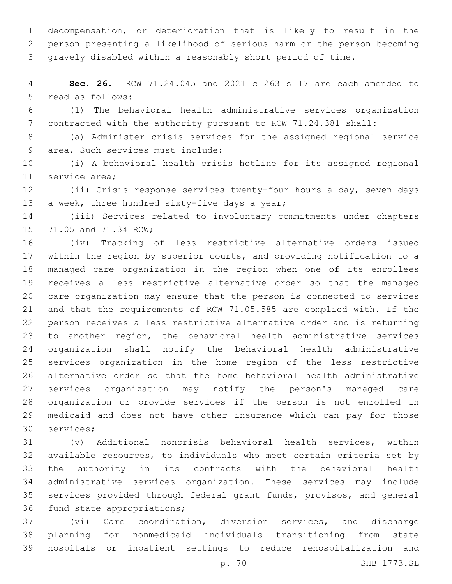decompensation, or deterioration that is likely to result in the person presenting a likelihood of serious harm or the person becoming gravely disabled within a reasonably short period of time.

 **Sec. 26.** RCW 71.24.045 and 2021 c 263 s 17 are each amended to 5 read as follows:

 (1) The behavioral health administrative services organization contracted with the authority pursuant to RCW 71.24.381 shall:

 (a) Administer crisis services for the assigned regional service 9 area. Such services must include:

 (i) A behavioral health crisis hotline for its assigned regional 11 service area;

 (ii) Crisis response services twenty-four hours a day, seven days 13 a week, three hundred sixty-five days a year;

 (iii) Services related to involuntary commitments under chapters 15 71.05 and 71.34 RCW;

 (iv) Tracking of less restrictive alternative orders issued within the region by superior courts, and providing notification to a managed care organization in the region when one of its enrollees receives a less restrictive alternative order so that the managed care organization may ensure that the person is connected to services and that the requirements of RCW 71.05.585 are complied with. If the person receives a less restrictive alternative order and is returning to another region, the behavioral health administrative services organization shall notify the behavioral health administrative services organization in the home region of the less restrictive alternative order so that the home behavioral health administrative services organization may notify the person's managed care organization or provide services if the person is not enrolled in medicaid and does not have other insurance which can pay for those 30 services;

 (v) Additional noncrisis behavioral health services, within available resources, to individuals who meet certain criteria set by the authority in its contracts with the behavioral health administrative services organization. These services may include services provided through federal grant funds, provisos, and general 36 fund state appropriations;

 (vi) Care coordination, diversion services, and discharge planning for nonmedicaid individuals transitioning from state hospitals or inpatient settings to reduce rehospitalization and

p. 70 SHB 1773.SL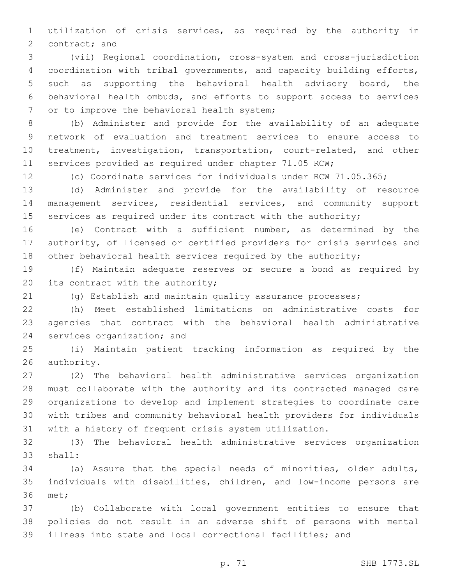utilization of crisis services, as required by the authority in 2 contract; and

 (vii) Regional coordination, cross-system and cross-jurisdiction coordination with tribal governments, and capacity building efforts, such as supporting the behavioral health advisory board, the behavioral health ombuds, and efforts to support access to services 7 or to improve the behavioral health system;

 (b) Administer and provide for the availability of an adequate network of evaluation and treatment services to ensure access to treatment, investigation, transportation, court-related, and other services provided as required under chapter 71.05 RCW;

(c) Coordinate services for individuals under RCW 71.05.365;

 (d) Administer and provide for the availability of resource management services, residential services, and community support 15 services as required under its contract with the authority;

 (e) Contract with a sufficient number, as determined by the authority, of licensed or certified providers for crisis services and 18 other behavioral health services required by the authority;

 (f) Maintain adequate reserves or secure a bond as required by 20 its contract with the authority;

(g) Establish and maintain quality assurance processes;

 (h) Meet established limitations on administrative costs for agencies that contract with the behavioral health administrative 24 services organization; and

 (i) Maintain patient tracking information as required by the 26 authority.

 (2) The behavioral health administrative services organization must collaborate with the authority and its contracted managed care organizations to develop and implement strategies to coordinate care with tribes and community behavioral health providers for individuals with a history of frequent crisis system utilization.

 (3) The behavioral health administrative services organization 33 shall:

 (a) Assure that the special needs of minorities, older adults, individuals with disabilities, children, and low-income persons are 36 met;

 (b) Collaborate with local government entities to ensure that policies do not result in an adverse shift of persons with mental illness into state and local correctional facilities; and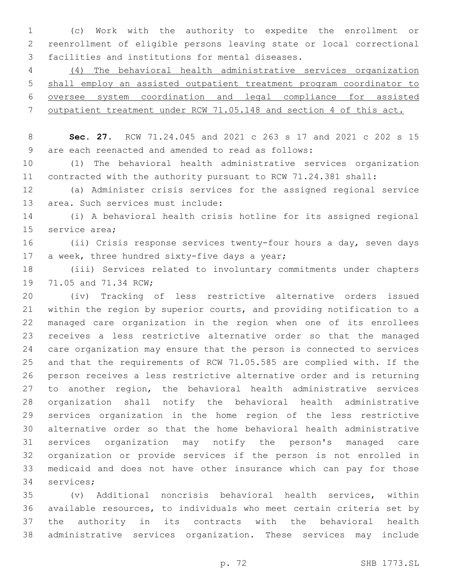(c) Work with the authority to expedite the enrollment or reenrollment of eligible persons leaving state or local correctional 3 facilities and institutions for mental diseases.

 (4) The behavioral health administrative services organization shall employ an assisted outpatient treatment program coordinator to oversee system coordination and legal compliance for assisted outpatient treatment under RCW 71.05.148 and section 4 of this act.

 **Sec. 27.** RCW 71.24.045 and 2021 c 263 s 17 and 2021 c 202 s 15 are each reenacted and amended to read as follows:9

 (1) The behavioral health administrative services organization contracted with the authority pursuant to RCW 71.24.381 shall:

 (a) Administer crisis services for the assigned regional service 13 area. Such services must include:

 (i) A behavioral health crisis hotline for its assigned regional 15 service area;

 (ii) Crisis response services twenty-four hours a day, seven days 17 a week, three hundred sixty-five days a year;

 (iii) Services related to involuntary commitments under chapters 19 71.05 and 71.34 RCW;

 (iv) Tracking of less restrictive alternative orders issued within the region by superior courts, and providing notification to a managed care organization in the region when one of its enrollees receives a less restrictive alternative order so that the managed care organization may ensure that the person is connected to services and that the requirements of RCW 71.05.585 are complied with. If the person receives a less restrictive alternative order and is returning to another region, the behavioral health administrative services organization shall notify the behavioral health administrative services organization in the home region of the less restrictive alternative order so that the home behavioral health administrative services organization may notify the person's managed care organization or provide services if the person is not enrolled in medicaid and does not have other insurance which can pay for those 34 services;

 (v) Additional noncrisis behavioral health services, within available resources, to individuals who meet certain criteria set by the authority in its contracts with the behavioral health administrative services organization. These services may include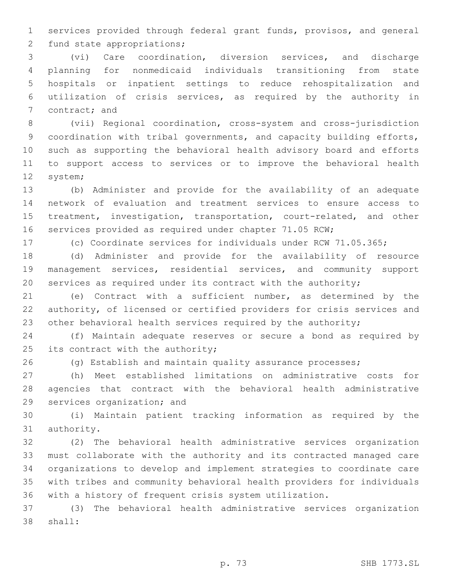services provided through federal grant funds, provisos, and general 2 fund state appropriations;

 (vi) Care coordination, diversion services, and discharge planning for nonmedicaid individuals transitioning from state hospitals or inpatient settings to reduce rehospitalization and utilization of crisis services, as required by the authority in 7 contract; and

 (vii) Regional coordination, cross-system and cross-jurisdiction coordination with tribal governments, and capacity building efforts, such as supporting the behavioral health advisory board and efforts to support access to services or to improve the behavioral health 12 system;

 (b) Administer and provide for the availability of an adequate network of evaluation and treatment services to ensure access to treatment, investigation, transportation, court-related, and other services provided as required under chapter 71.05 RCW;

(c) Coordinate services for individuals under RCW 71.05.365;

 (d) Administer and provide for the availability of resource management services, residential services, and community support services as required under its contract with the authority;

 (e) Contract with a sufficient number, as determined by the authority, of licensed or certified providers for crisis services and 23 other behavioral health services required by the authority;

 (f) Maintain adequate reserves or secure a bond as required by 25 its contract with the authority;

(g) Establish and maintain quality assurance processes;

 (h) Meet established limitations on administrative costs for agencies that contract with the behavioral health administrative 29 services organization; and

 (i) Maintain patient tracking information as required by the 31 authority.

 (2) The behavioral health administrative services organization must collaborate with the authority and its contracted managed care organizations to develop and implement strategies to coordinate care with tribes and community behavioral health providers for individuals with a history of frequent crisis system utilization.

 (3) The behavioral health administrative services organization 38 shall: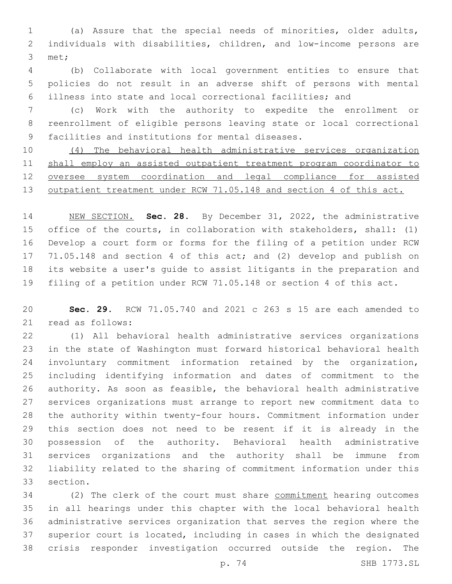(a) Assure that the special needs of minorities, older adults, individuals with disabilities, children, and low-income persons are 3 met;

 (b) Collaborate with local government entities to ensure that policies do not result in an adverse shift of persons with mental illness into state and local correctional facilities; and

 (c) Work with the authority to expedite the enrollment or reenrollment of eligible persons leaving state or local correctional 9 facilities and institutions for mental diseases.

 (4) The behavioral health administrative services organization shall employ an assisted outpatient treatment program coordinator to oversee system coordination and legal compliance for assisted 13 outpatient treatment under RCW 71.05.148 and section 4 of this act.

 NEW SECTION. **Sec. 28.** By December 31, 2022, the administrative office of the courts, in collaboration with stakeholders, shall: (1) Develop a court form or forms for the filing of a petition under RCW 71.05.148 and section 4 of this act; and (2) develop and publish on its website a user's guide to assist litigants in the preparation and filing of a petition under RCW 71.05.148 or section 4 of this act.

 **Sec. 29.** RCW 71.05.740 and 2021 c 263 s 15 are each amended to 21 read as follows:

 (1) All behavioral health administrative services organizations in the state of Washington must forward historical behavioral health involuntary commitment information retained by the organization, including identifying information and dates of commitment to the authority. As soon as feasible, the behavioral health administrative services organizations must arrange to report new commitment data to the authority within twenty-four hours. Commitment information under this section does not need to be resent if it is already in the possession of the authority. Behavioral health administrative services organizations and the authority shall be immune from liability related to the sharing of commitment information under this 33 section.

 (2) The clerk of the court must share commitment hearing outcomes in all hearings under this chapter with the local behavioral health administrative services organization that serves the region where the superior court is located, including in cases in which the designated crisis responder investigation occurred outside the region. The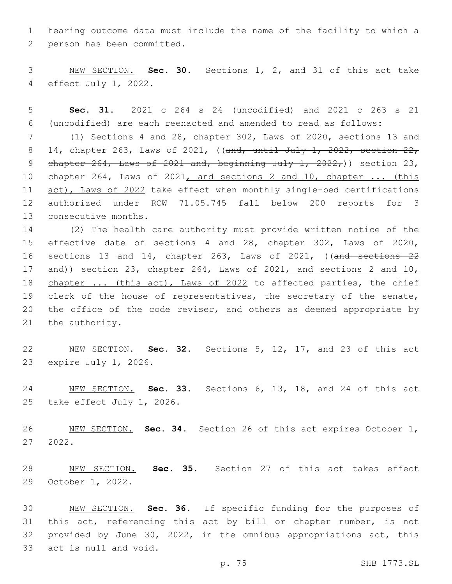hearing outcome data must include the name of the facility to which a 2 person has been committed.

 NEW SECTION. **Sec. 30.** Sections 1, 2, and 31 of this act take effect July 1, 2022.

 **Sec. 31.** 2021 c 264 s 24 (uncodified) and 2021 c 263 s 21 (uncodified) are each reenacted and amended to read as follows:

 (1) Sections 4 and 28, chapter 302, Laws of 2020, sections 13 and 8 14, chapter 263, Laws of 2021, ((and, until July 1, 2022, section 22, 9 chapter , Laws of  $2021$  and, beginning July 1,  $2022$ , ) section 23, chapter 264, Laws of 2021, and sections 2 and 10, chapter ... (this 11 act), Laws of 2022 take effect when monthly single-bed certifications authorized under RCW 71.05.745 fall below 200 reports for 3 13 consecutive months.

 (2) The health care authority must provide written notice of the effective date of sections 4 and 28, chapter 302, Laws of 2020, sections 13 and 14, chapter 263, Laws of 2021, ((and sections 22 and)) section 23, chapter 264, Laws of 2021, and sections 2 and 10, 18 chapter ... (this act), Laws of 2022 to affected parties, the chief clerk of the house of representatives, the secretary of the senate, the office of the code reviser, and others as deemed appropriate by 21 the authority.

 NEW SECTION. **Sec. 32.** Sections 5, 12, 17, and 23 of this act expire July 1, 2026.

 NEW SECTION. **Sec. 33.** Sections 6, 13, 18, and 24 of this act take effect July 1, 2026.

 NEW SECTION. **Sec. 34.** Section 26 of this act expires October 1, 2022.

 NEW SECTION. **Sec. 35.** Section 27 of this act takes effect October 1, 2022.

 NEW SECTION. **Sec. 36.** If specific funding for the purposes of 31 this act, referencing this act by bill or chapter number, is not provided by June 30, 2022, in the omnibus appropriations act, this act is null and void.